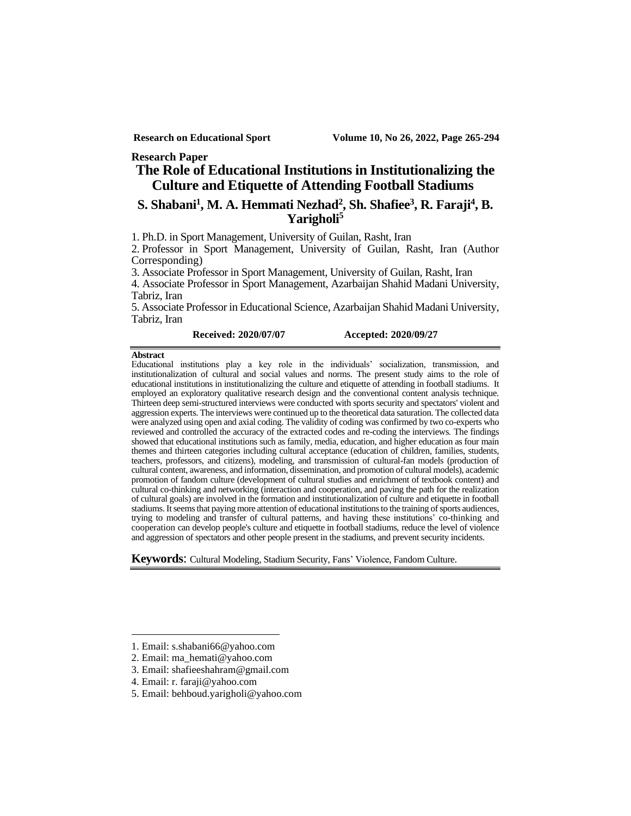#### **Research Paper**

# **The Role of Educational Institutions in Institutionalizing the Culture and Etiquette of Attending Football Stadiums<sup>1</sup>**

## **S. Shabani<sup>1</sup> , M. A. Hemmati Nezhad<sup>2</sup> , Sh. Shafiee<sup>3</sup> , R. Faraji<sup>4</sup> , B. Yarigholi<sup>5</sup>**

1. Ph.D. in Sport Management, University of Guilan, Rasht, Iran

2. Professor in Sport Management, University of Guilan, Rasht, Iran (Author Corresponding)

3. Associate Professor in Sport Management, University of Guilan, Rasht, Iran

4. Associate Professor in Sport Management, Azarbaijan Shahid Madani University, Tabriz, Iran

5. Associate Professor in Educational Science, Azarbaijan Shahid Madani University, Tabriz, Iran

#### **Received: 2020/07/07 Accepted: 2020/09/27**

#### **Abstract**

Educational institutions play a key role in the individuals' socialization, transmission, and institutionalization of cultural and social values and norms. The present study aims to the role of educational institutions in institutionalizing the culture and etiquette of attending in football stadiums. It employed an exploratory qualitative research design and the conventional content analysis technique. Thirteen deep semi-structured interviews were conducted with sports security and spectators' violent and aggression experts. The interviews were continued up to the theoretical data saturation. The collected data were analyzed using open and axial coding. The validity of coding was confirmed by two co-experts who reviewed and controlled the accuracy of the extracted codes and re-coding the interviews . The findings showed that educational institutions such as family, media, education, and higher education as four main themes and thirteen categories including cultural acceptance (education of children, families, students, teachers, professors, and citizens), modeling, and transmission of cultural-fan models (production of cultural content, awareness, and information, dissemination, and promotion of cultural models), academic promotion of fandom culture (development of cultural studies and enrichment of textbook content) and cultural co-thinking and networking (interaction and cooperation, and paving the path for the realization of cultural goals) are involved in the formation and institutionalization of culture and etiquette in football stadiums. It seems that paying more attention of educational institutions to the training of sports audiences, trying to modeling and transfer of cultural patterns, and having these institutions' co-thinking and cooperation can develop people's culture and etiquette in football stadiums, reduce the level of violence and aggression of spectators and other people present in the stadiums, and prevent security incidents.

**Keywords**: Cultural Modeling, Stadium Security, Fans' Violence, Fandom Culture.

<sup>1.</sup> Email: [s.shabani66@yahoo.com](mailto:S.shabani66@yahoo.com) 

<sup>2.</sup> Email: ma\_hemati@yahoo.com

<sup>3.</sup> Email: shafieeshahram@gmail.com

<sup>4.</sup> Email: r. faraji@yahoo.com

<sup>5.</sup> Email: behboud.yarigholi@yahoo.com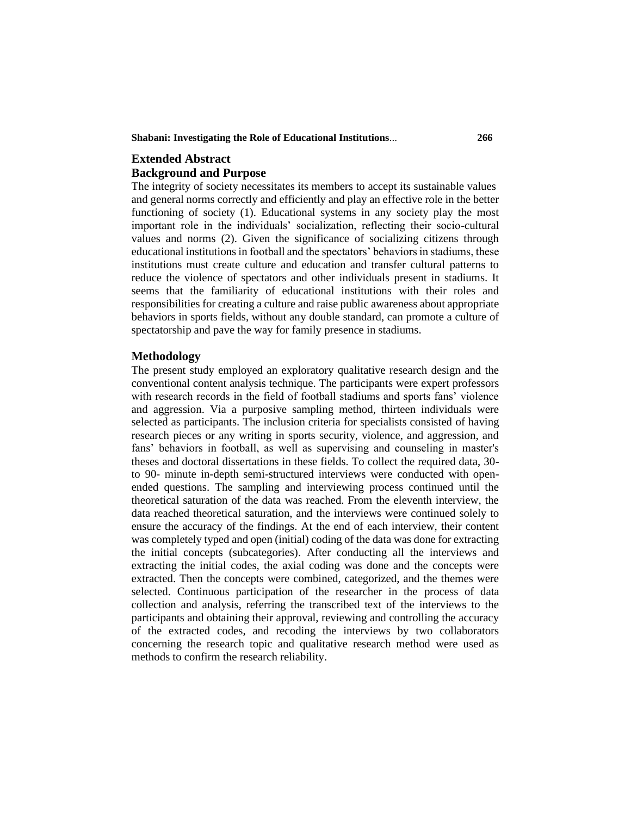**Shabani: Investigating the Role of Educational Institutions**... **266**

# **Extended Abstract Background and Purpose**

The integrity of society necessitates its members to accept its sustainable values and general norms correctly and efficiently and play an effective role in the better functioning of society (1). Educational systems in any society play the most important role in the individuals' socialization, reflecting their socio-cultural values and norms (2). Given the significance of socializing citizens through educational institutions in football and the spectators' behaviors in stadiums, these institutions must create culture and education and transfer cultural patterns to reduce the violence of spectators and other individuals present in stadiums. It seems that the familiarity of educational institutions with their roles and responsibilities for creating a culture and raise public awareness about appropriate behaviors in sports fields, without any double standard, can promote a culture of spectatorship and pave the way for family presence in stadiums.

### **Methodology**

The present study employed an exploratory qualitative research design and the conventional content analysis technique. The participants were expert professors with research records in the field of football stadiums and sports fans' violence and aggression. Via a purposive sampling method, thirteen individuals were selected as participants. The inclusion criteria for specialists consisted of having research pieces or any writing in sports security, violence, and aggression, and fans' behaviors in football, as well as supervising and counseling in master's theses and doctoral dissertations in these fields. To collect the required data, 30 to 90- minute in-depth semi-structured interviews were conducted with openended questions. The sampling and interviewing process continued until the theoretical saturation of the data was reached. From the eleventh interview, the data reached theoretical saturation, and the interviews were continued solely to ensure the accuracy of the findings. At the end of each interview, their content was completely typed and open (initial) coding of the data was done for extracting the initial concepts (subcategories). After conducting all the interviews and extracting the initial codes, the axial coding was done and the concepts were extracted. Then the concepts were combined, categorized, and the themes were selected. Continuous participation of the researcher in the process of data collection and analysis, referring the transcribed text of the interviews to the participants and obtaining their approval, reviewing and controlling the accuracy of the extracted codes, and recoding the interviews by two collaborators concerning the research topic and qualitative research method were used as methods to confirm the research reliability.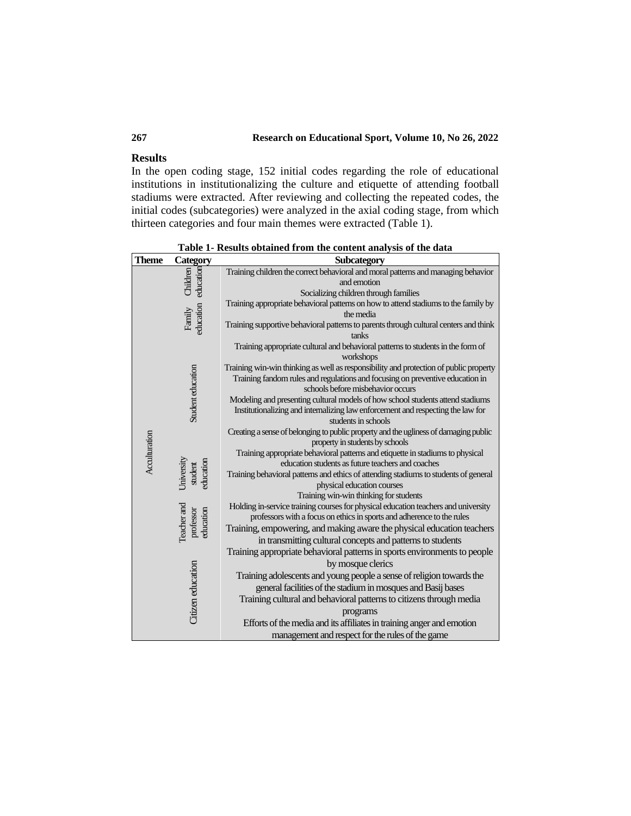## **267 Research on Educational Sport, Volume 10, No 26, 2022**

#### **Results**

In the open coding stage, 152 initial codes regarding the role of educational institutions in institutionalizing the culture and etiquette of attending football stadiums were extracted. After reviewing and collecting the repeated codes, the initial codes (subcategories) were analyzed in the axial coding stage, from which thirteen categories and four main themes were extracted (Table 1).

| <b>Theme</b>  |                                                                                                                                                                                                                                                                  | Subcategory                                                                                                        |  |  |
|---------------|------------------------------------------------------------------------------------------------------------------------------------------------------------------------------------------------------------------------------------------------------------------|--------------------------------------------------------------------------------------------------------------------|--|--|
|               |                                                                                                                                                                                                                                                                  | Training children the correct behavioral and moral patterns and managing behavior                                  |  |  |
|               |                                                                                                                                                                                                                                                                  | and emotion                                                                                                        |  |  |
|               |                                                                                                                                                                                                                                                                  | Socializing children through families                                                                              |  |  |
|               |                                                                                                                                                                                                                                                                  | Training appropriate behavioral patterns on how to attend stadiums to the family by                                |  |  |
|               |                                                                                                                                                                                                                                                                  | the media                                                                                                          |  |  |
|               | Category<br>Eleminical<br>Eleminical<br>Eleminical<br>Elemination<br>Elemination<br>Elemination<br>Elemination<br>Elemination<br>Elemination<br>Elemination<br>Elemination<br>Elemination<br>Elemination<br>Elemination<br>Elemination<br>Elemination<br>Elemina | Training supportive behavioral patterns to parents through cultural centers and think<br>tanks                     |  |  |
|               |                                                                                                                                                                                                                                                                  | Training appropriate cultural and behavioral patterns to students in the form of<br>workshops                      |  |  |
|               |                                                                                                                                                                                                                                                                  | Training win-win thinking as well as responsibility and protection of public property                              |  |  |
|               | Student education                                                                                                                                                                                                                                                | Training fandom rules and regulations and focusing on preventive education in<br>schools before misbehavior occurs |  |  |
|               |                                                                                                                                                                                                                                                                  | Modeling and presenting cultural models of how school students attend stadiums                                     |  |  |
|               |                                                                                                                                                                                                                                                                  | Institutionalizing and internalizing law enforcement and respecting the law for                                    |  |  |
|               |                                                                                                                                                                                                                                                                  | students in schools                                                                                                |  |  |
|               |                                                                                                                                                                                                                                                                  | Creating a sense of belonging to public property and the ugliness of damaging public                               |  |  |
|               |                                                                                                                                                                                                                                                                  | property in students by schools                                                                                    |  |  |
|               | Jniversity<br>education<br>student                                                                                                                                                                                                                               | Training appropriate behavioral patterns and etiquette in stadiums to physical                                     |  |  |
| Acculturation |                                                                                                                                                                                                                                                                  | education students as future teachers and coaches                                                                  |  |  |
|               |                                                                                                                                                                                                                                                                  | Training behavioral patterns and ethics of attending stadiums to students of general                               |  |  |
|               |                                                                                                                                                                                                                                                                  | physical education courses                                                                                         |  |  |
|               |                                                                                                                                                                                                                                                                  | Training win-win thinking for students                                                                             |  |  |
|               |                                                                                                                                                                                                                                                                  | Holding in-service training courses for physical education teachers and university                                 |  |  |
|               | Teacher and<br>education<br>professor                                                                                                                                                                                                                            | professors with a focus on ethics in sports and adherence to the rules                                             |  |  |
|               |                                                                                                                                                                                                                                                                  | Training, empowering, and making aware the physical education teachers                                             |  |  |
|               |                                                                                                                                                                                                                                                                  | in transmitting cultural concepts and patterns to students                                                         |  |  |
|               |                                                                                                                                                                                                                                                                  | Training appropriate behavioral patterns in sports environments to people                                          |  |  |
|               |                                                                                                                                                                                                                                                                  | by mosque clerics                                                                                                  |  |  |
|               |                                                                                                                                                                                                                                                                  | Training adolescents and young people a sense of religion towards the                                              |  |  |
|               |                                                                                                                                                                                                                                                                  | general facilities of the stadium in mosques and Basij bases                                                       |  |  |
|               |                                                                                                                                                                                                                                                                  | Training cultural and behavioral patterns to citizens through media                                                |  |  |
|               | Citizen education                                                                                                                                                                                                                                                | programs                                                                                                           |  |  |
|               |                                                                                                                                                                                                                                                                  | Efforts of the media and its affiliates in training anger and emotion                                              |  |  |
|               |                                                                                                                                                                                                                                                                  | management and respect for the rules of the game                                                                   |  |  |

**Table 1- Results obtained from the content analysis of the data**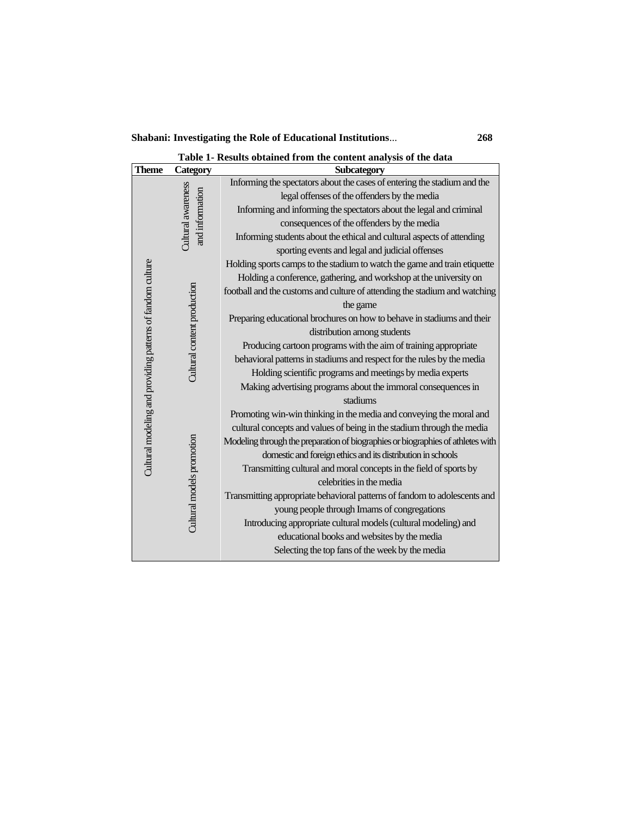**Shabani: Investigating the Role of Educational Institutions**... **268**

**Table 1- Results obtained from the content analysis of the data**

|  | <b>Theme</b>                                               | <b>Category</b>                       | Subcategory                                                                     |  |  |
|--|------------------------------------------------------------|---------------------------------------|---------------------------------------------------------------------------------|--|--|
|  |                                                            |                                       | Informing the spectators about the cases of entering the stadium and the        |  |  |
|  |                                                            |                                       | legal offenses of the offenders by the media                                    |  |  |
|  |                                                            |                                       | Informing and informing the spectators about the legal and criminal             |  |  |
|  |                                                            |                                       | consequences of the offenders by the media                                      |  |  |
|  |                                                            | Cultural awareness<br>and information | Informing students about the ethical and cultural aspects of attending          |  |  |
|  |                                                            |                                       | sporting events and legal and judicial offenses                                 |  |  |
|  |                                                            |                                       | Holding sports camps to the stadium to watch the game and train etiquette       |  |  |
|  |                                                            |                                       | Holding a conference, gathering, and workshop at the university on              |  |  |
|  |                                                            |                                       | football and the customs and culture of attending the stadium and watching      |  |  |
|  |                                                            |                                       | the game                                                                        |  |  |
|  |                                                            |                                       | Preparing educational brochures on how to behave in stadiums and their          |  |  |
|  |                                                            |                                       | distribution among students                                                     |  |  |
|  |                                                            | Cultural content production           | Producing cartoon programs with the aim of training appropriate                 |  |  |
|  | Cultural modeling and providing patterns of fandom culture |                                       | behavioral patterns in stadiums and respect for the rules by the media          |  |  |
|  |                                                            |                                       | Holding scientific programs and meetings by media experts                       |  |  |
|  |                                                            |                                       | Making advertising programs about the immoral consequences in                   |  |  |
|  |                                                            | Cultural models promotion             | stadiums                                                                        |  |  |
|  |                                                            |                                       | Promoting win-win thinking in the media and conveying the moral and             |  |  |
|  |                                                            |                                       | cultural concepts and values of being in the stadium through the media          |  |  |
|  |                                                            |                                       | Modeling through the preparation of biographies or biographies of athletes with |  |  |
|  |                                                            |                                       | domestic and foreign ethics and its distribution in schools                     |  |  |
|  |                                                            |                                       | Transmitting cultural and moral concepts in the field of sports by              |  |  |
|  |                                                            |                                       | celebrities in the media                                                        |  |  |
|  |                                                            |                                       | Transmitting appropriate behavioral patterns of fandom to adolescents and       |  |  |
|  |                                                            |                                       | young people through Imams of congregations                                     |  |  |
|  |                                                            |                                       | Introducing appropriate cultural models (cultural modeling) and                 |  |  |
|  |                                                            |                                       | educational books and websites by the media                                     |  |  |
|  |                                                            |                                       | Selecting the top fans of the week by the media                                 |  |  |
|  |                                                            |                                       |                                                                                 |  |  |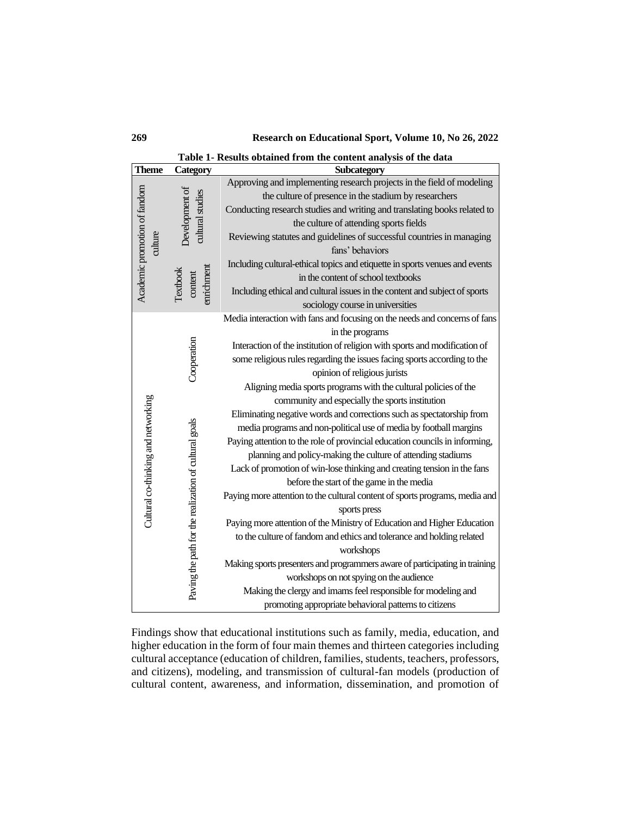**269 Research on Educational Sport, Volume 10, No 26, 2022**

| Table 1- Results obtained from the content analysis of the data |  |
|-----------------------------------------------------------------|--|
|-----------------------------------------------------------------|--|

| <b>Theme</b>                        | <b>Category</b>                                                      | Subcategory                                                                 |  |
|-------------------------------------|----------------------------------------------------------------------|-----------------------------------------------------------------------------|--|
| Academic promotion of fandom        |                                                                      | Approving and implementing research projects in the field of modeling       |  |
|                                     |                                                                      | the culture of presence in the stadium by researchers                       |  |
|                                     |                                                                      | Conducting research studies and writing and translating books related to    |  |
|                                     | Development of<br>cultural studies                                   | the culture of attending sports fields                                      |  |
| culture                             |                                                                      | Reviewing statutes and guidelines of successful countries in managing       |  |
|                                     |                                                                      | fans' behaviors                                                             |  |
|                                     |                                                                      | Including cultural-ethical topics and etiquette in sports venues and events |  |
|                                     | <b>anrichment</b><br>Textbook<br>content                             | in the content of school textbooks                                          |  |
|                                     |                                                                      | Including ethical and cultural issues in the content and subject of sports  |  |
|                                     |                                                                      | sociology course in universities                                            |  |
|                                     |                                                                      | Media interaction with fans and focusing on the needs and concerns of fans  |  |
|                                     |                                                                      | in the programs                                                             |  |
|                                     |                                                                      | Interaction of the institution of religion with sports and modification of  |  |
|                                     |                                                                      | some religious rules regarding the issues facing sports according to the    |  |
|                                     | Cooperation<br>Paving the path for the realization of cultural goals | opinion of religious jurists                                                |  |
|                                     |                                                                      | Aligning media sports programs with the cultural policies of the            |  |
|                                     |                                                                      | community and especially the sports institution                             |  |
| Cultural co-thinking and networking |                                                                      | Eliminating negative words and corrections such as spectatorship from       |  |
|                                     |                                                                      | media programs and non-political use of media by football margins           |  |
|                                     |                                                                      | Paying attention to the role of provincial education councils in informing, |  |
|                                     |                                                                      | planning and policy-making the culture of attending stadiums                |  |
|                                     |                                                                      | Lack of promotion of win-lose thinking and creating tension in the fans     |  |
|                                     |                                                                      | before the start of the game in the media                                   |  |
|                                     |                                                                      | Paying more attention to the cultural content of sports programs, media and |  |
|                                     |                                                                      | sports press                                                                |  |
|                                     |                                                                      | Paying more attention of the Ministry of Education and Higher Education     |  |
|                                     |                                                                      | to the culture of fandom and ethics and tolerance and holding related       |  |
|                                     |                                                                      | workshops                                                                   |  |
|                                     |                                                                      | Making sports presenters and programmers aware of participating in training |  |
|                                     |                                                                      | workshops on not spying on the audience                                     |  |
|                                     |                                                                      | Making the clergy and imams feel responsible for modeling and               |  |
|                                     |                                                                      | promoting appropriate behavioral patterns to citizens                       |  |

Findings show that educational institutions such as family, media, education, and higher education in the form of four main themes and thirteen categories including cultural acceptance (education of children, families, students, teachers, professors, and citizens), modeling, and transmission of cultural-fan models (production of cultural content, awareness, and information, dissemination, and promotion of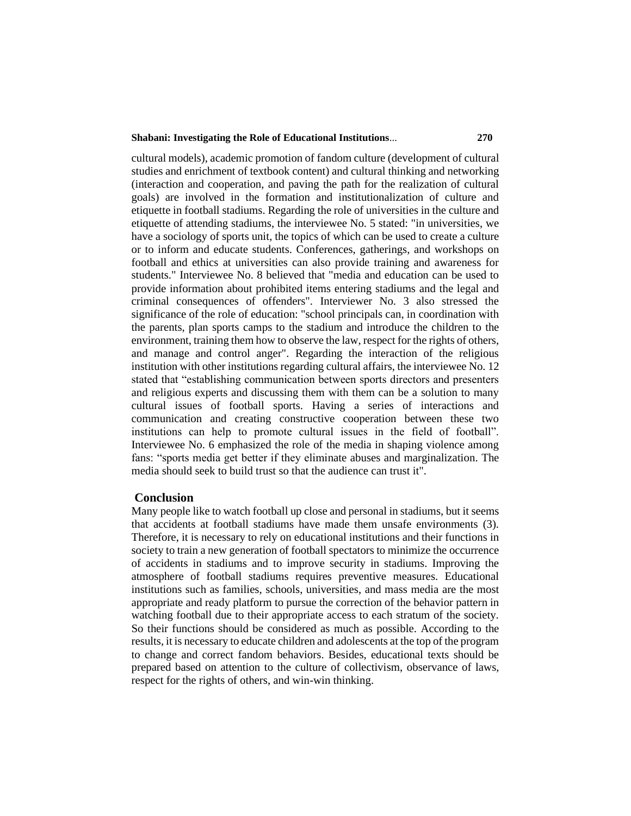### **Shabani: Investigating the Role of Educational Institutions**... **270**

cultural models), academic promotion of fandom culture (development of cultural studies and enrichment of textbook content) and cultural thinking and networking (interaction and cooperation, and paving the path for the realization of cultural goals) are involved in the formation and institutionalization of culture and etiquette in football stadiums. Regarding the role of universities in the culture and etiquette of attending stadiums, the interviewee No. 5 stated: "in universities, we have a sociology of sports unit, the topics of which can be used to create a culture or to inform and educate students. Conferences, gatherings, and workshops on football and ethics at universities can also provide training and awareness for students." Interviewee No. 8 believed that "media and education can be used to provide information about prohibited items entering stadiums and the legal and criminal consequences of offenders". Interviewer No. 3 also stressed the significance of the role of education: "school principals can, in coordination with the parents, plan sports camps to the stadium and introduce the children to the environment, training them how to observe the law, respect for the rights of others, and manage and control anger". Regarding the interaction of the religious institution with other institutions regarding cultural affairs, the interviewee No. 12 stated that "establishing communication between sports directors and presenters and religious experts and discussing them with them can be a solution to many cultural issues of football sports. Having a series of interactions and communication and creating constructive cooperation between these two institutions can help to promote cultural issues in the field of football". Interviewee No. 6 emphasized the role of the media in shaping violence among fans: "sports media get better if they eliminate abuses and marginalization. The media should seek to build trust so that the audience can trust it".

#### **Conclusion**

Many people like to watch football up close and personal in stadiums, but it seems that accidents at football stadiums have made them unsafe environments (3). Therefore, it is necessary to rely on educational institutions and their functions in society to train a new generation of football spectators to minimize the occurrence of accidents in stadiums and to improve security in stadiums. Improving the atmosphere of football stadiums requires preventive measures. Educational institutions such as families, schools, universities, and mass media are the most appropriate and ready platform to pursue the correction of the behavior pattern in watching football due to their appropriate access to each stratum of the society. So their functions should be considered as much as possible. According to the results, it is necessary to educate children and adolescents at the top of the program to change and correct fandom behaviors. Besides, educational texts should be prepared based on attention to the culture of collectivism, observance of laws, respect for the rights of others, and win-win thinking.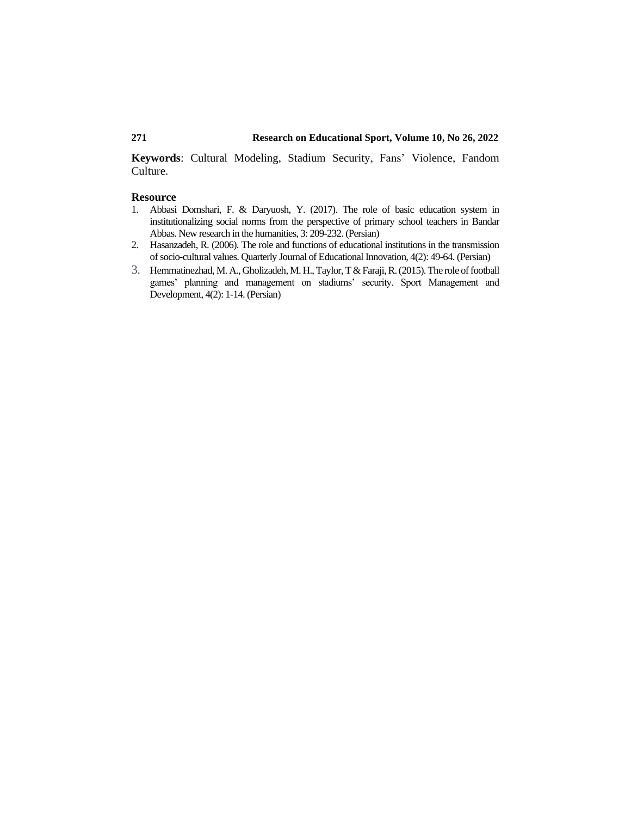**Keywords**: Cultural Modeling, Stadium Security, Fans' Violence, Fandom Culture.

#### **Resource**

- 1. [Abbasi Domshari, F. & Daryuosh, Y. \(2017\). The role of basic education system in](https://www.noormags.ir/view/fa/articlepage/1290609/%D9%86%D9%82%D8%B4-%D9%86%D8%B8%D8%A7%D9%85-%D8%A7%D9%85%D9%88%D8%B2%D8%B4%DB%8C-%D9%BE%D8%A7%DB%8C%D9%87-%D8%AF%D8%B1-%D9%86%D9%87%D8%A7%D8%AF%DB%8C%D9%86%D9%87-%D8%B3%D8%A7%D8%B2%DB%8C-%D9%87%D9%86%D8%AC%D8%A7%D8%B1%D9%87%D8%A7%DB%8C-%D8%A7%D8%AC%D8%AA%D9%85%D8%A7%D8%B9%DB%8C-%D8%A7%D8%B2-%D8%AF%DB%8C%D8%AF%DA%AF%D8%A7%D9%87-%D9%85%D8%B9%D9%84%D9%85%D8%A7%D9%86-%D8%A7%D8%A8%D8%AA%D8%AF%D8%A7%DB%8C%DB%8C-%D8%B4%D9%87%D8%B1%D8%B3%D8%AA%D8%A7%D9%86-%D8%A8%D9%86%D8%AF%D8%B1%D8%B9%D8%A8%D8%A7%D8%B3)  [institutionalizing social norms from the perspective of primary school teachers in Bandar](https://www.noormags.ir/view/fa/articlepage/1290609/%D9%86%D9%82%D8%B4-%D9%86%D8%B8%D8%A7%D9%85-%D8%A7%D9%85%D9%88%D8%B2%D8%B4%DB%8C-%D9%BE%D8%A7%DB%8C%D9%87-%D8%AF%D8%B1-%D9%86%D9%87%D8%A7%D8%AF%DB%8C%D9%86%D9%87-%D8%B3%D8%A7%D8%B2%DB%8C-%D9%87%D9%86%D8%AC%D8%A7%D8%B1%D9%87%D8%A7%DB%8C-%D8%A7%D8%AC%D8%AA%D9%85%D8%A7%D8%B9%DB%8C-%D8%A7%D8%B2-%D8%AF%DB%8C%D8%AF%DA%AF%D8%A7%D9%87-%D9%85%D8%B9%D9%84%D9%85%D8%A7%D9%86-%D8%A7%D8%A8%D8%AA%D8%AF%D8%A7%DB%8C%DB%8C-%D8%B4%D9%87%D8%B1%D8%B3%D8%AA%D8%A7%D9%86-%D8%A8%D9%86%D8%AF%D8%B1%D8%B9%D8%A8%D8%A7%D8%B3)  [Abbas. New research in the humanities, 3: 209-232.](https://www.noormags.ir/view/fa/articlepage/1290609/%D9%86%D9%82%D8%B4-%D9%86%D8%B8%D8%A7%D9%85-%D8%A7%D9%85%D9%88%D8%B2%D8%B4%DB%8C-%D9%BE%D8%A7%DB%8C%D9%87-%D8%AF%D8%B1-%D9%86%D9%87%D8%A7%D8%AF%DB%8C%D9%86%D9%87-%D8%B3%D8%A7%D8%B2%DB%8C-%D9%87%D9%86%D8%AC%D8%A7%D8%B1%D9%87%D8%A7%DB%8C-%D8%A7%D8%AC%D8%AA%D9%85%D8%A7%D8%B9%DB%8C-%D8%A7%D8%B2-%D8%AF%DB%8C%D8%AF%DA%AF%D8%A7%D9%87-%D9%85%D8%B9%D9%84%D9%85%D8%A7%D9%86-%D8%A7%D8%A8%D8%AA%D8%AF%D8%A7%DB%8C%DB%8C-%D8%B4%D9%87%D8%B1%D8%B3%D8%AA%D8%A7%D9%86-%D8%A8%D9%86%D8%AF%D8%B1%D8%B9%D8%A8%D8%A7%D8%B3) (Persian)
- 2. [Hasanzadeh, R. \(2006\). The role and functions of educational institutions in the transmission](https://www.sid.ir/fa/journal/ViewPaper.aspx?ID=17473)  [of socio-cultural values. Quarterly Journal of Educational Innovation, 4\(2\): 49-64. \(Persian\)](https://www.sid.ir/fa/journal/ViewPaper.aspx?ID=17473)
- 3. [Hemmatinezhad, M. A., Gholizadeh, M. H., Taylor, T & Faraji, R. \(2015\). The role of football](https://jsmd.guilan.ac.ir/article_1592.html?lang=en)  [games' planning and management on stadiums' security. Sport Management and](https://jsmd.guilan.ac.ir/article_1592.html?lang=en)  [Development, 4\(2\): 1-14. \(Persian\)](https://jsmd.guilan.ac.ir/article_1592.html?lang=en)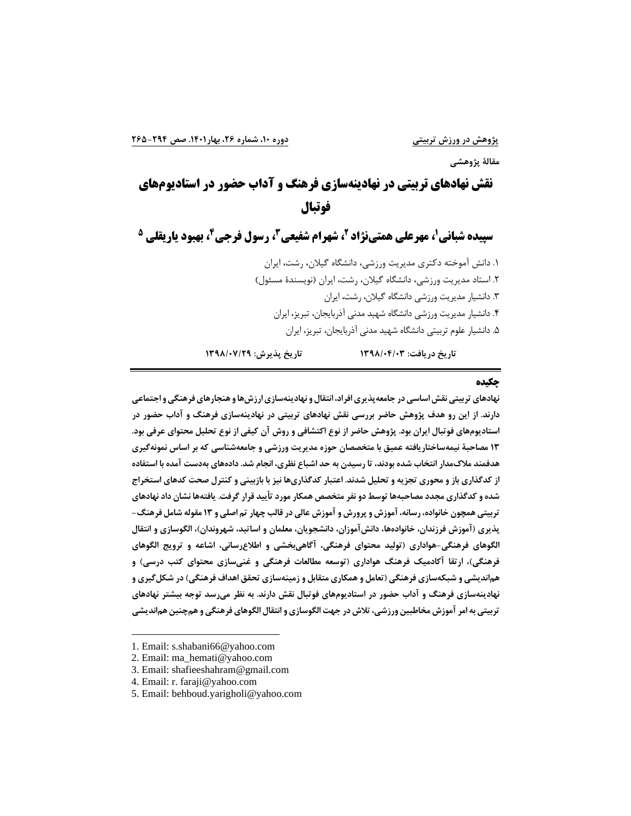**مقالة پژوهشی**

# **نقش نهادهای تربیتی در نهادینهسازی فرهنگ و آداب حضور در استادیومهای فوتبال**

**1 سپیده شبانی 2 ، مهرعلی همتینژاد 4 ، رسول فرجی <sup>3</sup> ، شهرام شفیعی 5 ، بهبود یاریقلی** 

.1 دانش آموخته دکتری مدیریت ورزشی، دانشگاه گیالن، رشت، ایران .2 استاد مدیریت ورزشی، دانشگاه گیالن، رشت، ایران )نویسندۀ مسئول( .3 دانشیار مدیریت ورزشی دانشگاه گیالن، رشت، ایران ۴. دانشیار مدیریت ورزشی دانشگاه شهید مدنی آذربایجان، تبریز، ایران .5 دانشیار علوم تربیتی دانشگاه شهید مدنی آذربایجان، تبریز، ایران

**تاريخ دريافت: /04/03 1398 تاريخ پذيرش: 1398/07/29**

### **چکیده**

**نهادهای تربیتی نقش اساسی در جامعه پ ذيری افراد ، انتقال و نهادينه سازی ارزش ها و هنجارهای فرهنگی و اجتماعی دارند. از اين رو هدف پژوهش حاضر بررسی نقش نهادهای تربیتی در نهادينه سازی فرهنگ و آداب حضور در استاديوم های فوتبال ايران بود . پژوهش حاضر از نوع اکتشافی و روش آن کیفی از نوع تحلیل محتوای عرفی بود.**  ۱۳ مصاحبهٔ نیمه ساختاریافته عمیق با متخصصان حوزه مدیریت ورزشی و جامعه شناسی که بر اساس نمونه *گ*یری **هدفمند مالک مدار انتخاب شده بودند ، تا رسیدن به حد اشباع نظری، انجام شد. داده های به دست آمده با استفاده**  از کدگذاری باز و محوری تجزیه و تحلیل شدند. اعتبار کدگذاریها نیز با بازبینی و کنترل صحت کدهای استخراج **شده و کدگذار ی مجدد مصاحبه ها توسط دو نفر متخصص همکار مورد تأيید قرار گرفت . يافته ها نشان داد نهادهای تربیتی همچون خانواده، رسانه، آموزش و پرورش و آموزش عالی در قالب چهار تم اصلی و 13 مقوله شامل فرهنگ -** پذيري (آموزش فرزندان، خانوادهها، دانش آموزان، دانشجويان، معلمان و اساتيد، شهروندان)، الگوسازی و انتقال **الگوهای فرهنگی - هواداری ) تولید محتوای فرهنگی، آگاهی بخشی و اطالع رسانی ، اشاعه و ترويج الگوهای**  فرهنگی)، ارتقا آکادمیک فرهنگ هواداری (توسعه مطالعات فرهنگی و غنیسازی محتوای کتب درسی) و هماندیشی و شبکهسازی فرهنگی (تعامل و همکاری متقابل و زمینهسازی تحقق اهداف فرهنگی) در شکل *گ*یری و نهادینهسازی فرهنگ و آداب حضور در استادیومهای فوتبال نقش دارند. به نظر می رسد توجه بیشتر نهادهای **تربیتی به امر آموزش مخاطبین ورزشی ، تالش در جهت ا لگوسازی و انتقال الگوهای فرهنگی و هم چنین هم انديشی** 

- 2. Email: ma\_hemati@yahoo.com
- 3. Email: shafieeshahram@gmail.com
- 4. Email: r. faraji@yahoo.com
- 5. Email: behboud.yarigholi@yahoo.com

<sup>1.</sup> Email: [s.shabani66@yahoo.com](mailto:S.shabani66@yahoo.com)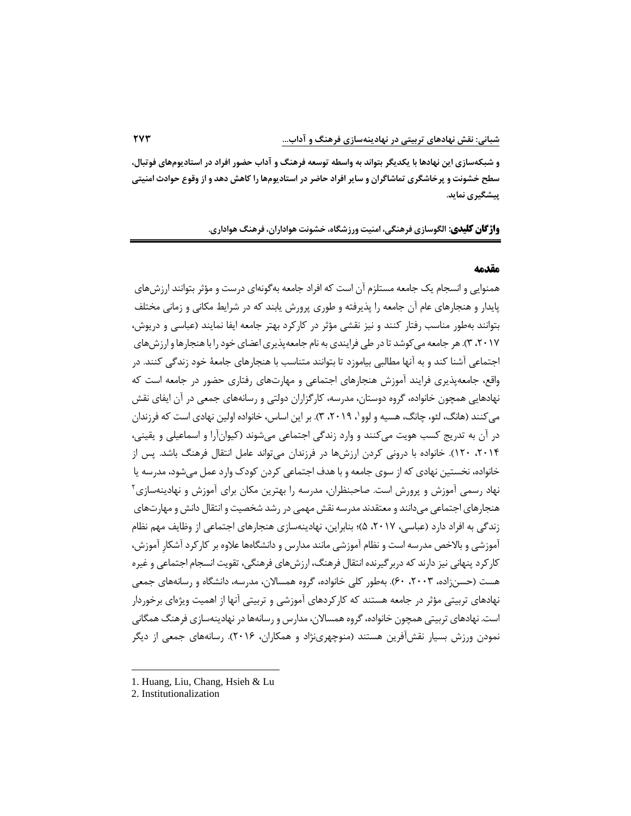**و شبکه سازی اين نهادها با يکديگر بتوا ند ب ه واسطه توسعه فرهنگ و آداب حضور افراد در استاديوم های فوتبال،**  سطح خشونت و پر خاشگری تماشاگران و سایر افراد حاضر در استادیومها را کاهش دهد و از وقوع حوادث امنیت*ی* **پیشگیری نمايد.** 

**واژگان کلیدی : الگوسازی فرهنگی، امنیت ورزشگاه، خشونت هواداران، فرهنگ هواداری.**

### **م قدمه**

همنوایی و انسجام یک جامعه مستلزم آن است که افراد جامعه به گونهای درست و مؤثر بتوانند ارزش های پایدار و هنجارهای عام آن جامعه را پذیرفته و طوری پرورش یابند که در شرایط مکانی و زمانی مختلف بتوانند به طور مناسب رفتار کنند و نیز نقشی مؤثر در کارکرد بهتر جامعه ایفا نمایند (عباسی و دریوش، ،2017 3( . هر جامعه می کوشد تا در طی فرایندی به نام جامعه پذیری اعضای خود را با هنجارها و ارزش های اجتماعی آشنا کند و به آنها مطالبی بیاموزد تا بتوانند متناسب با هنجارهای جامعۀ خود زندگی کنند. در واقع، جامعه پذیری فرایند آموزش هنجارهای اجتماعی و مهارتهای رفتاری حضور در جامعه است که نهادهایی همچون خانواده، گروه دوستان، مدرسه، کارگزاران دولتی و رسانه های جمعی در آن ایفای نقش میکنند (هانگ، لئو، چانگ، هسیه و لوو`، ۲۰۱۹، ۳). بر این اساس، خانواده اولین نهادی است که فرزندان در آن به تدریج کسب هویت می کنند و وارد زندگی اجتماعی می شوند )کیوان آرا و اسماعیلی و یقینی ، ،2014 120(. خانواده با درونی کردن ارزش ها در فرزندان می تواند عامل انتقال فرهنگ باشد . پس از خانواده، نخستین نهادی که از سوی جامعه و با هدف اجتماعی کردن کودك وارد عمل می شود، مدرسه یا نهاد رسمی آموزش و پرورش است. صاحبنظران، مدرسه را بهترین مکان برای آموزش و نهادینهسازی ٔ هنجارهای اجتماعی می دانند و معتقدند مدرسه نقش مهمی در رشد شخصیت و انتقال دانش و مهارت های زندگی به افراد دارد (عباسی، ۲۰۱۷، ۵)؛ بنابراین، نهادینهسازی هنجارهای اجتماعی از وظایف مهم نظام آموزشی و بالاخص مدرسه است و نظام آموزشی مانند مدارس و دانشگاهها علاوه بر کارکرد آشکار آموزش، کارکرد پنهانی نیز دارند که دربر گیرنده انتقال فرهنگ، ارزش های فرهنگی، تقویت انسجام اجتماعی و غیره هست (حسنزاده، ۲۰۰۳، ۶۰). بهطور کلی خانواده، گروه همسالان، مدرسه، دانشگاه و رسانههای جمعی نهادهای تربیتی مؤثر در جامعه هستند که کارکردهای آموزشی و تربیتی آنها از اهمیت ویژهای برخوردار است. نهادهای تربیتی همچون خانواده، گروه همسالان، مدارس و رسانهها در نهادینهسازی فرهنگ همگانی نمودن ورزش بسیار نقش آفرین هستند (منوچهریiژاد و همکاران، ۲۰۱۶). رسانههای جمعی از دیگر

<sup>1.</sup> Huang, Liu, Chang, Hsieh & Lu

<sup>2.</sup> Institutionalization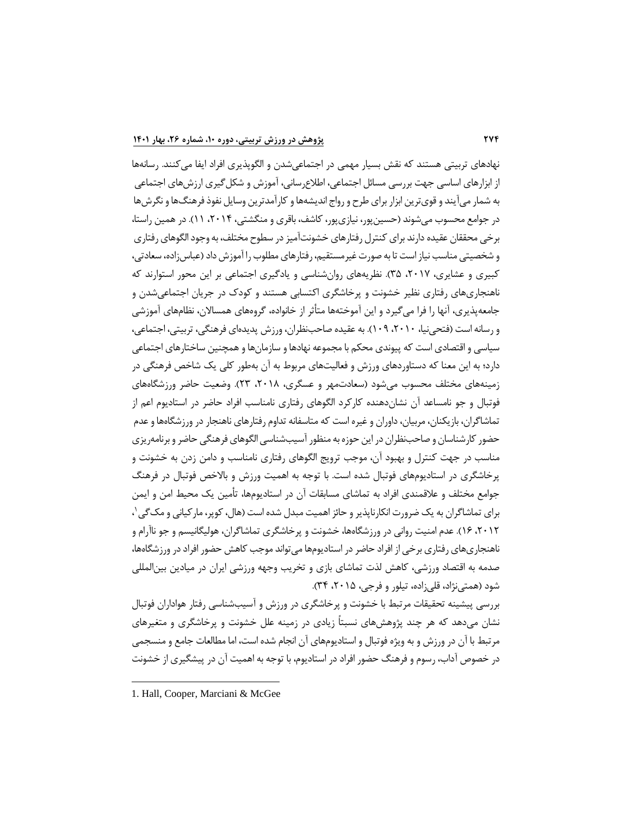نهادهای تربیتی هستند که نقش بسیار مهمی در اجتماعیشدن و الگوپذیری افراد ایفا می کنند. رسانهها از ابزارهای اساسی جهت بررسی مسائل اجتماعی، اطالع رسانی، آموزش و شکل گیری ارزش های اجتماعی به شمار می آیند و قوی ترین ابزار برای طرح و رواج اندیشه ها و کارآمدترین وسایل نفوذ فرهنگ ها و نگرش ها در جوامع محسوب می شوند (حسین پور، نیازی پور، کاشف، باقری و منگشتی، ۲۰۱۴، ۱۱). در همین راستا، برخی محققان عقیده دارند برای کنترل رفتار های خشونت آمیز در سطوح مختلف، به وجود الگوهای رفتاری و شخصیتی مناسب نیاز است تا به صورت غیرمستقیم، رفتار های مطلوب را آموزش داد )عباس زاده، سعادتی، کبیری و عشایری، ۲۰۱۷، ۳۵). نظریههای روان شناسی و یادگیری اجتماعی بر این محور استوارند که ناهنجاری های رفتاری نظیر خشونت و پرخاشگری اکتسابی هستند و کودك در جریان اجتماعی شدن و جامعه پذیری، آنها را فرا می گیرد و این آموختهها متأثر از خانواده، گروههای همسالان، نظامهای آموزشی و رسانه است )فتحی نیا، ،2010 109(. به عقیده صاحب نظران ، ورزش پدیده ای فرهنگی، تربیتی، اجتماعی، سیاسی و اقتصادی است که پیوندی محکم با مجموعه نهادها و سازمان ها و همچنین ساختارهای اجتماعی دارد؛ به این معنا که دستاوردهای ورزش و فعالیتهای مربوط به آن بهطور کلی یک شاخص فرهنگی در زمینههای مختلف محسوب می شود (سعادت مهر و عسگری، ۲۰۱۸، ۲۳). وضعیت حاضر ورزشگاههای فوتبال و جو نامساعد آن نشان دهنده کارکرد الگوهای رفتاری نامناسب افراد حاضر در استادیوم اعم از تماشاگران، بازیکنان، مربیان، داوران و غیره است که متاسفانه تداوم رفتارهای ناهنجار در ورزشگاهها و عدم حضور کارشناسان و صاحب نظران در این حوزه به منظور آسیب شناسی الگوهای فرهنگی حاضر و برنامه ریزی مناسب در جهت کنترل و بهبود آن، موجب ترویج الگوهای رفتاری نامناسب و دامن زدن به خشونت و پرخاشگری در استادیومهای فوتبال شده است. با توجه به اهمیت ورزش و بالاخص فوتبال در فرهنگ جوامع مختلف و عالقمندی افراد به تماشای مسابقات آن در استادیوم ها، تأمین یک محیط امن و ایمن برای تماشاگران به یک ضرورت انکارناپذیر و حائز اهمیت مبدل شده است (هال، کوپر، مارکیانی و مک گی \، ۲۰۱۲، ۱۶). عدم امنیت روانی در ورزشگاهها، خشونت و پرخاشگری تماشاگران، هولیگانیسم و جو ناآرام و ناهنجاری های رفتاری برخی از افراد حاضر در استادیوم ها می تواند موجب کاهش حضور افراد در ورزشگاه ها، صدمه به اقتصاد ورزشی، کاهش لذت تماشای بازی و تخریب وجهه ورزشی ایران در میادین بین|لمللی شود (همتی نژاد، قلی زاده، تیلور و فرجی، ۲۰۱۵، ۳۴).

بررسی پیشینه تحقیقات مرتبط با خشونت و پرخاشگری در ورزش و آسیب شناسی رفتار هواداران فوتبال نشان می دهد که هر چند پژوهش های نسبتاً زیادی در زمینه علل خشونت و پرخاشگری و متغیرهای مرتبط با آن در ورزش و به ویژه فوتبال و استادیوم های آن انجام شده است ، اما مطالعات جامع و منسجمی در خصوص آداب، رسوم و فرهنگ حضور افراد در استادیوم، با توجه به اهمیت آن در پیشگیری از خشونت

<sup>1.</sup> Hall, Cooper, Marciani & McGee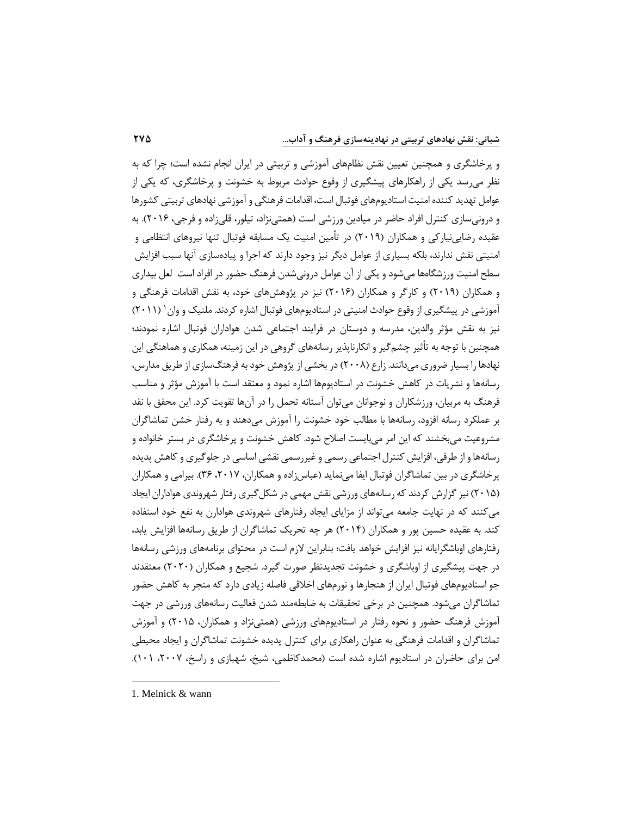و پرخاشگری و همچنین تعیین نقش نظامهای آموزشی و تربیتی در ایران انجام نشده است؛ چرا که به نظر می رسد یکی از راهکارهای پیشگیری از وقوع حوادث مربوط به خشونت و پرخاشگری، که یکی از عوامل تهدید کننده امنیت استادیوم های فوتبال است، اقدامات فرهنگی و آموزشی نهادهای تربیتی کشورها و درونی سازی کنترل افراد حاضر در میادین ورزشی است (همتی نژاد، تیلور، قلی زاده و فرجی، ۲۰۱۶). به عقیده رضایی نیارکی و همکاران (۲۰۱۹) در تأمین امنیت یک مسابقه فوتبال تنها نیروهای انتظامی و امنیتی نقش ندارند، بلکه بسیاری از عوامل دیگر نیز وجود دارند که اجرا و پیاده سازی آنها سبب افزایش سطح امنیت ورزشگاهها میشود و یکی از آن عوامل درونیشدن فرهنگ حضور در افراد است لعل بیداری و همکاران (۲۰۱۹) و کارگر و همکاران (۲۰۱۶) نیز در پژوهش های خود، به نقش اقدامات فرهنگی و آموزشی در پیشگیری از وقوع حوادث امنیتی در استادیومهای فوتبال اشاره کردند. ملنیک و وان ۱۱۱٬۲۰۱) نیز به نقش مؤثر والدین، مدرسه و دوستان در فرایند اجتماعی شدن هواداران فوتبال اشاره نمودند؛ همچنین با توجه به تأثیر چشم گیر و انکارناپذیر رسانههای گروهی در این زمینه، همکاری و هماهنگی این نهادها را بسیار ضروری می دانند. زارع (۲۰۰۸) در بخشی از پژوهش خود به فرهنگ سازی از طریق مدارس، رسانهها و نشریات در کاهش خشونت در استادیومها اشاره نمود و معتقد است با آموزش مؤثر و مناسب فرهنگ به مربیان، ورزشکاران و نوجوانان می توان آستانه تحمل را در آن ها تقویت کرد . این محقق با نقد بر عملکرد رسانه افزود، رسانهها با مطالب خود خشونت را آموزش می دهند و به رفتار خشن تماشاگران مشروعیت می بخشند که این امر می بایست اصالح شود . کاهش خشونت و پرخاشگری در بستر خانواده و رسانه ها و از طرفی، افزایش کنترل اجتماعی رسمی و غیر رسمی نقشی اساسی در جلوگیری و کاهش پدیده پرخاشگری در بین تماشاگران فوتبال ایفا می نماید (عباس;اده و همکاران، ۲۰۱۷، ۳۶). بیرامی و همکاران (۲۰۱۵) نیز گزارش کردند که رسانههای ورزشی نقش مهمی در شکل گیری رفتار شهروندی هواداران ایجاد می کنند که در نهایت جامعه می تواند از مزایای ایجاد رفتارهای شهروندی هوادارن به نفع خود استفاده کند. به عقیده حسین پور و همکاران (۲۰۱۴) هر چه تحریک تماشاگران از طریق رسانهها افزایش یابد، رفتارهای اوباشگرایانه نیز افزایش خواهد یافت؛ بنابراین الزم است در محتوای برنامه های ورزشی رسانه ها در جهت پیشگیری از اوباشگری و خشونت تجدیدنظر صورت گیرد. شجیع و همکاران ) 2020( معتقدند جو استادیومهای فوتبال ایران از هنجارها و نورمهای اخلاقی فاصله زیادی دارد که منجر به کاهش حضور تماشاگران میشود. همچنین در برخی تحقیقات به ضابطهمند شدن فعالیت رسانههای ورزشی در جهت آموزش فرهنگ حضور و نحوه رفتار در استادیومهای ورزشی (همتی نژاد و همکاران، ۲۰۱۵) و آموزش تماشاگران و اقدامات فرهنگی به عنوان راهکاری برای کنترل پدیده خشونت تماشاگران و ایجاد محیطی امن برای حاضران در استادیوم اشاره شده است (محمدکاظمی، شیخ، شهبازی و راسخ، ۲۰۰۷، ۱۰۱).

<sup>1.</sup> Melnick & wann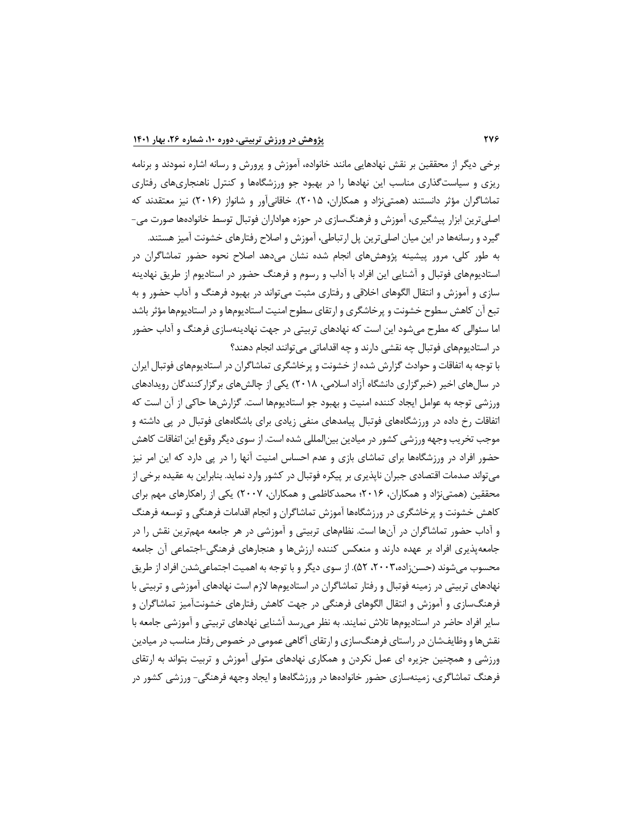برخی دیگر از محققین بر نقش نهادهایی مانند خانواده، آموزش و پرورش و رسانه اشا ره نمودند و برنامه ریزی و سیاست گذاری مناسب این نهادها را در بهبود جو ورزشگاهها و کنترل ناهنجاریهای رفتاری تماشاگران مؤثر دانستند (همتی نژاد و همکاران، ۲۰۱۵). خاقانی آور و شانواز (۲۰۱۶) نیز معتقدند که اصلی ترین ابزار پیشگیری، آموزش و فرهنگ سازی در حوزه هواداران فوتبال توسط خانوادهها صورت می-

گیرد و رسانه ها در این میان اصلی ترین پل ارتباطی، آموزش و اصالح رفتارهای خشونت آمیز هستند . به طور کلی، مرور پیشینه پژوهش های انجام شده نشان می دهد اصالح نحوه حضور تماشاگران در استادیوم های فوتبال و آشنایی این افراد با آداب و رسوم و فرهنگ حضور در استادیوم از طریق نهادینه سازی و آموزش و انتقال الگوهای اخلاقی و رفتاری مثبت می تواند در بهبود فرهنگ و آداب حضور و به تبع آن کاهش سطوح خشونت و پرخاشگری و ارتقای سطوح امنیت استادیوم ها و در استادیوم ها مؤثر باشد اما سئوالی که مطرح می شود این است که نهادهای تربیتی در جهت نهادینهسازی فرهنگ و آداب حضور در استادیوم های فوتبال چه نقشی دارند و چه اقداماتی می توانند انجام دهند؟

با توجه به اتفاقات و حوادث گزارش شده از خشونت و پرخ اشگری تماشاگران در استادیوم های فوتبال ایران در سال های اخیر (خبر گزاری دانشگاه آزاد اسلامی، ۲۰۱۸) یکی از چالش های برگزار کنندگان رویدادهای ورزشی توجه به عوامل ایجاد کننده امنیت و بهبود جو استادیومها است. گزارشها حاکی از آن است که اتفاقات رخ داده در ورزشگاه های فوتبال پیامدهای منفی زیادی برای باشگاه های فوتبال در پی داشته و موجب تخریب وجهه ورزشی کشور در میادین بین|لمللی شده است. از سوی دیگر وقوع این اتفاقات کاهش حضور افراد در ورزشگاهها برای تماشای بازی و عدم احساس امنیت آنها را در پی دارد که این امر نیز می تواند صدمات اقتصادی جبران ناپذیری بر پیکره فوتبال در کشور وارد نماید. بنابراین به عقیده برخی از محققین (همتی نژاد و همکاران، ۲۰۱۶؛ محمدکاظمی و همکاران، ۲۰۰۷) یکی از راهکارهای مهم برای کاهش خشونت و پرخاشگری در ورزشگاهها آموزش تماشاگران و انجام اقدامات فرهنگی و توسعه فرهنگ و آداب حضور تماشاگران در آن ها است . نظام های تربیتی و آموزشی در هر جامعه مهم ترین نقش را در جامعه پذیری افراد بر عهده دارند و منعکس کننده ارزش ها و هنجارهای فرهنگی - اجتماعی آن جامعه محسوب می شوند (حسن;اده،۲۰۰۳، ۵۲). از سوی دیگر و با توجه به اهمیت اجتماعی شدن افراد از طریق نهادهای تربیتی در زمینه فوتبال و رفتار تماشاگران در استادیوم ها الزم است نهادهای آموزشی و تربیتی با فرهنگ سازی و آموزش و انتقال الگوهای فرهنگی در جهت کاهش رفتارهای خشونتآمیز تماشاگران و سایر افراد حاضر در استادیومها تلاش نمایند. به نظر می رسد آشنایی نهادهای تربیتی و آموزشی جامعه با نقش ها و وظایف شان در راستای فرهنگ سازی و ارتقای آگاهی عمومی در خصوص رفتار مناسب در میادین ورزشی و همچنین جزیره ای عمل نکردن و همکاری نهادهای متولی آموزش و تربیت بتواند به ارتقای فرهنگ تماشاگری، زمینهسازی حضور خانوادهها در ورزشگاهها و ایجاد وجهه فرهنگی- ورزشی کشور در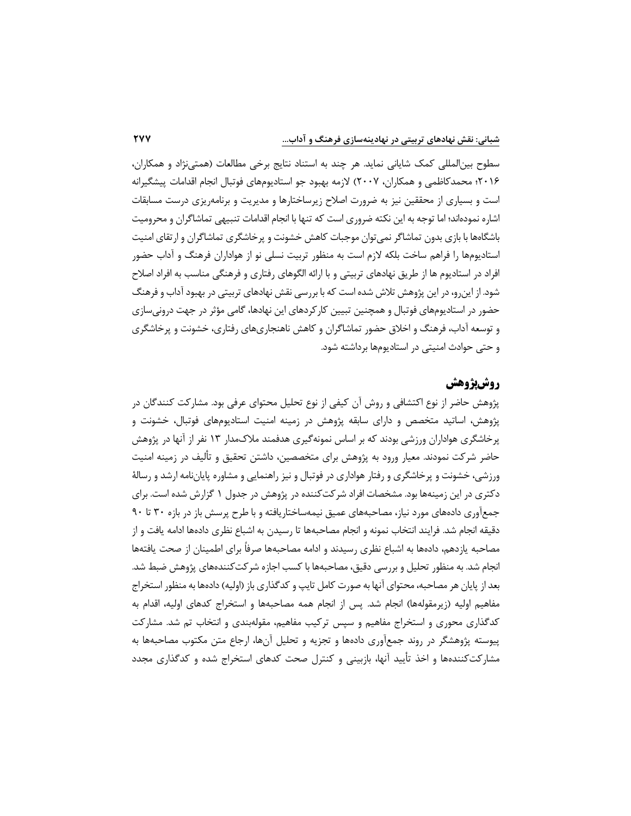سطوح بین المللی کمک شایانی نماید. هر چند به استناد نتایج برخی مطالعات ) همتی نژاد و همکاران، 2016؛ محمدکاظمی و همکاران، 2007( الزمه بهبود جو استادیوم های فوتبال انجام اقدامات پیشگیرانه است و بسیاری از محققین نیز به ضرورت اصلاح زیرساختارها و مدیریت و برنامهریزی درست مسابقات اشاره نموده اند ؛ اما توجه به این نکته ضروری است که تنها با انجام اقدامات تنبیهی تماشاگران و محرومیت باشگاهها با بازی بدون تماشاگر نمی توان موجبات کاهش خشونت و پرخاشگری تماشاگران و ارتقای امنیت اس تادیوم ها را فراهم ساخت بلکه الزم است به منظور تربیت نسلی نو از هواداران فرهنگ و آداب حضور افراد در استادیوم ها از طریق نهادهای تربیتی و با ارائه الگوهای رفتاری و فرهنگی مناسب به افراد اصالح شود . از این رو، در این پژوهش تالش شده است که با بررسی نقش نهادهای تربیتی در بهبود آداب و فرهنگ حضور در استادیوم های فوتبال و همچنین تبیین کارکردهای این نهادها ، گامی مؤثر در جهت درونی سازی و توسعه آداب، فرهنگ و اخالق حضور تماشاگران و کاهش ناهنجاری های رفتاری، خشونت و پ رخاشگری و حتی حوادث امنیتی در استادیوم ها برداشته شود.

# **روش پژوهش**

پژوهش حاضر از نوع اکتشافی و روش آن کیفی از نوع تحلیل محتوای عرفی بود. مشارکت کنندگان در پژوهش ، اساتید متخصص و دارای سابقه پژوهش در زمینه امنیت استادیوم های فوتبال، خشونت و پرخاشگری هواداران ورزشی بودند که بر اساس نمونه گیری هدفمند مالك مدار 13 نفر از آنها در پژوهش حاضر شرکت نمودند. معیار ورود به پژوهش برای متخصصین ، داشتن تحقیق و تألیف در زمینه امنیت ورزشی، خشونت و پرخاشگری و رفتار هواداری در فوتبال و نیز راهنمایی و مشاوره پایان نامه ارشد و رسالۀ دکتری در این زمینه ها بود. مشخصات افراد شرکت کننده در پژوهش در جدول 1 گزارش شده است. برای جمع آوری دادههای مورد نیاز، مصاحبههای عمیق نیمهساختاریافته و با طرح پرسش باز در بازه ۳۰ تا ۹۰ دقیقه انجام شد. فرایند انتخاب نمونه و انجام مصاحبهها تا رسیدن به اشباع نظری دادهها ادامه یافت و از مصاحبه یازدهم، دادهها به اشباع نظری رسیدند و ادامه مصاحبهها صرفاً برای اطمینان از صحت یافتهها انجام شد. به منظور تحلیل و بررسی دقیق، مصاحبه ها با کسب اجازه شرکت کننده های پژوهش ضبط شد. بعد از پایان هر مصاحبه، محتوای آنها به صورت کامل تایپ و کدگذاری باز (اولیه) دادهها به منظور استخراج مفاهیم اولیه (زیرمقولهها) انجام شد. پس از انجام همه مصاحبهها و استخراج کدهای اولیه، اقدام به کدگذاری محوری و استخراج مفاهیم و سپس ترکیب مفاهیم، مقولهبندی و انتخاب تم شد. مشارکت پیوسته پژوهشگر در روند جمع آوری داده ها و تجزیه و تحلیل آن ها، ارجاع متن مکتوب مصاحبه ها به مشارکت کننده ها و اخذ تأیید آنها، بازبینی و کنترل صحت کدهای استخراج شده و کدگذاری مجدد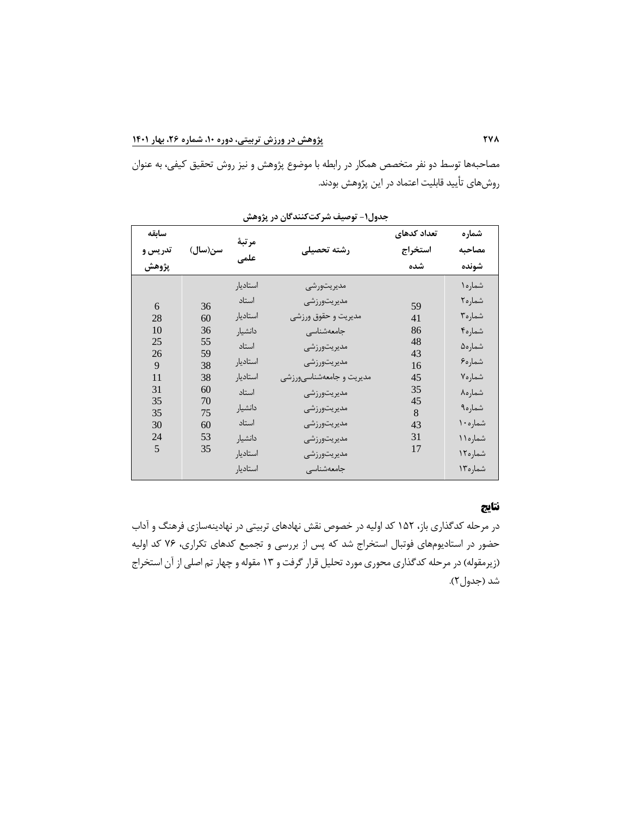مصاحبه ها توسط دو نفر متخصص همکار در رابطه با موضوع پژوهش و نیز روش تحقیق کیفی، به عنوان روش های تأیید قابلیت اعتماد در این پژوهش بودند.

| سابقه   |          | مرتبة    |                          | تعداد كدهاى | شماره    |
|---------|----------|----------|--------------------------|-------------|----------|
| تدريس و | سن(سال)  | علمى     | رشته تحصيلى              | استخراج     | مصاحبه   |
| پژوهش   |          |          |                          | شده         | شونده    |
|         |          | استاديار | مديريتورشي               |             | شماره١   |
| 6       | 36       | استاد    | مديريتورزشي              | 59          | شماره٢   |
| 28      | 60       | استاديار | مديريت و حقوق ورزشي      | 41          | شماره۳   |
| 10      | 36       | دانشيار  | جامعهشناسى               | 86          | شماره۴   |
| 25      | 55       | استاد    | مديريتورزشي              | 48          | شماره۵   |
| 26<br>9 | 59<br>38 | استاديا, | مديريتورزشي              | 43<br>16    | شماره۶   |
| 11      | 38       | استاديار | مديريت و جامعهشناسيورزشي | 45          | شماره٧   |
| 31      | 60       | استاد    | مديريتورزشي              | 35          | شماره٨   |
| 35      | 70       |          |                          | 45          |          |
| 35      | 75       | دانشيار  | مديريتورزشي              | 8           | شماره۹   |
| 30      | 60       | استاد    | مديريتورزشي              | 43          | شماره ۱۰ |
| 24      | 53       | دانشيار  | مديريتورزشي              | 31          | شماره ۱۱ |
| 5       | 35       | استاديا, | مديريتورزشي              | 17          | شماره ١٢ |
|         |          | استاديار | جامعهشناسى               |             | شماره ۱۳ |

**جدول -1 توصیف شرکت کنندگان در پژوهش** 

# **نتایج**

در مرحله کدگذاری باز ، 152 کد اولیه در خصوص نقش نهادهای تربیتی در نهادینه سازی فرهنگ و آداب حضور در استادیوم های فوتبال استخراج شد که پس از بررسی و تجمیع کدهای تکراری، 76 کد اولیه (زیرمقوله) در مرحله کدگذاری محوری مورد تحلیل قرار گرفت و ۱۳ مقوله و چهار تم اصلی از آن استخراج شد (جدول۲).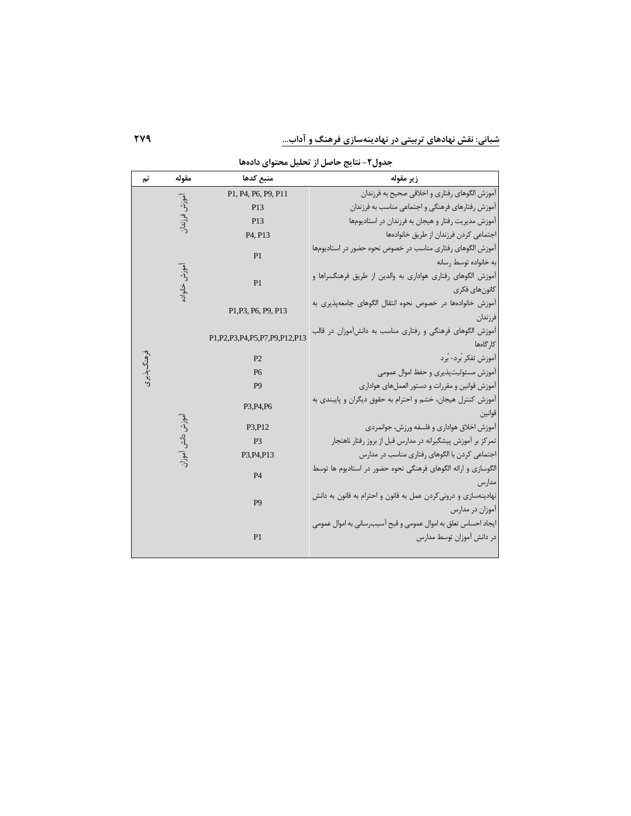جدول **۲**– نتايج حاصل از تحليل محتوای دادهها

| تم          | مقوله            | منبع كدها                            | زير مقوله                                                       |
|-------------|------------------|--------------------------------------|-----------------------------------------------------------------|
|             |                  | P1, P4, P6, P9, P11                  | آموزش الگوهای رفتاری و اخلاقی صحیح به فرزندان                   |
|             | آموزش فرزندار    | P <sub>13</sub>                      | آموزش رفتارهاي فرهنگي و اجتماعي مناسب به فرزندان                |
|             |                  | P <sub>13</sub>                      | آموزش مدیریت رفتار و هیجان به فرزندان در استادیومها             |
|             |                  | P4, P13                              | اجتماعی کردن فرزندان از طریق خانوادهها                          |
|             |                  |                                      | آموزش الگوهای رفتاری مناسب در خصوص نحوه حضور در استادیومها      |
|             |                  | P <sub>1</sub>                       | به خانواده توسط رسانه                                           |
|             | ُموز ش خانواد    | P <sub>1</sub>                       | آموزش الگوهای رفتاری هواداری به والدین از طریق فرهنگسراها و     |
|             |                  |                                      | كانون هاي فكرى                                                  |
|             |                  |                                      | آموزش خانوادهها در خصوص نحوه انتقال الگوهای جامعهیذیری به       |
|             |                  | P1, P3, P6, P9, P13                  | فرزندان                                                         |
|             |                  |                                      | آموزش الگوهای فرهنگی و رفتاری مناسب به دانشآموزان در قالب       |
|             |                  | P1, P2, P3, P4, P5, P7, P9, P12, P13 | كار گاەھا                                                       |
| ۇ ھنگ پذيرى |                  | P                                    | آموزش تفکر بُرد- بُرد                                           |
|             |                  | P <sub>6</sub>                       | آموزش مسئوليت پذيرى و حفظ اموال عمومى                           |
|             |                  | P <sub>9</sub>                       | آموزش قوانین و مقررات و دستور العملهای هواداری                  |
|             |                  |                                      | آموزش کنترل هیجان، خشم و احترام به حقوق دیگران و پایبندی به     |
|             |                  | P3, P4, P6                           | قوانين                                                          |
|             | موزش دانش آموزار | P3, P12                              | آموزش اخلاق هواداري و فلسفه ورزش، جوانمردي                      |
|             |                  | P3                                   | تمرکز بر آموزش پیشگیرانه در مدارس قبل از بروز رفتار ناهنجار     |
|             |                  | P3, P4, P13                          | اجتماعی کردن با الگوهای رفتاری مناسب در مدارس                   |
|             |                  | <b>P4</b>                            | الگوسازی و ارائه الگوهای فرهنگی نحوه حضور در استادیوم ها توسط   |
|             |                  |                                      | مدار س                                                          |
|             |                  | P <sub>9</sub>                       | نهادینهسازی و درونی کردن عمل به قانون و احترام به قانون به دانش |
|             |                  |                                      | آموزان در مدارس                                                 |
|             |                  |                                      | ايجاد احساس تعلق به اموال عمومي و قبح آسيب٬ساني به اموال عمومي  |
|             |                  | P <sub>1</sub>                       | در دانش آموزان توسط مدارس                                       |
|             |                  |                                      |                                                                 |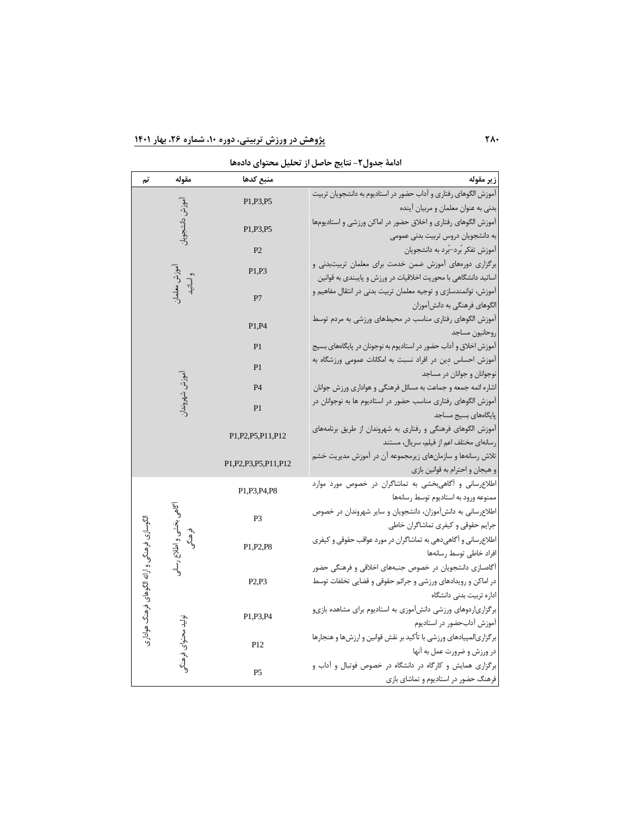**ادامة جدول -2 نتايج حاصل از تحلیل محتوای داده ها** 

| تم                                            | مقوله                    | منبع كدها                         | زير مقوله                                                                             |
|-----------------------------------------------|--------------------------|-----------------------------------|---------------------------------------------------------------------------------------|
|                                               |                          |                                   | آموزش الگوهای رفتاری و آداب حضور در استادیوم به دانشجویان تربیت                       |
|                                               | أموزش دانشجويان          | P1, P3, P5                        | بدني به عنوان معلمان و مربيان آينده                                                   |
|                                               |                          |                                   | آموزش الگوهای رفتاری و اخلاق حضور در اماکن ورزشی و استادیومها                         |
|                                               |                          | P1.P3.P5                          | به دانشجویان دروس تربیت بدنی عمومی                                                    |
|                                               |                          | P2                                | آموزش تفكر بُرد—بُرد به دانشجويان                                                     |
|                                               |                          | آموزش معلمان<br>و اساتید<br>P1.P3 | برگزاری دورههای آموزش ضمن خدمت برای معلمان تربیتبدنی و                                |
|                                               |                          |                                   | اساتید دانشگاهی با محوریت اخلاقیات در ورزش و پایبندی به قوانین                        |
|                                               |                          | P7                                | آموزش، توانمندسازی و توجیه معلمان تربیت بدنی در انتقال مفاهیم و                       |
|                                               |                          |                                   | الگوهای فرهنگی به دانشآموزان                                                          |
|                                               |                          | P1,P4                             | آموزش الگوهای رفتاری مناسب در محیطهای ورزشی به مردم توسط                              |
|                                               |                          |                                   | روحانيون مساجد                                                                        |
|                                               |                          | P <sub>1</sub>                    | آموزش اخلاق و آداب حضور در استادیوم به نوجونان در پایگاههای بسیج                      |
|                                               |                          | P <sub>1</sub>                    | آموزش احساس دین در افراد نسبت به امکانات عمومی ورزشگاه به                             |
|                                               |                          |                                   | نوجوانان و جوانان در مساجد                                                            |
|                                               | موزش شهروندار            | <b>P4</b>                         | اشاره ائمه جمعه و جماعت به مسائل فرهنگی و هواداری ورزش جوانان                         |
|                                               |                          | P <sub>1</sub>                    | آموزش الگوهای رفتاری مناسب حضور در استادیوم ها به نوجوانان در<br>پایگاههای بسیج مساجد |
|                                               |                          |                                   | آموزش الگوهای فرهنگی و رفتاری به شهروندان از طریق برنامههای                           |
|                                               |                          | P1, P2, P5, P11, P12              | رسانهای مختلف اعم از فیلم، سریال، مستند                                               |
|                                               |                          |                                   | تلاش رسانهها و سازمانهای زیرمجموعه آن در آموزش مدیریت خشم                             |
|                                               |                          | P1.P2.P3.P5.P11.P12               | و هیجان و احترام به قوانین بازی                                                       |
|                                               | آگاهی بخشی و اطلاع رسانی |                                   | اطلاعرسانی و آگاهی بخشی به تماشاگران در خصوص مورد موارد                               |
|                                               |                          | P1.P3.P4.P8                       | ممنوعه ورود به استاديوم توسط رسانهها                                                  |
|                                               |                          |                                   | اطلاعرسانی به دانشآموزان، دانشجویان و سایر شهروندان در خصوص                           |
|                                               |                          | P <sub>3</sub>                    | جرايم حقوقي وكيفرى تماشاگران خاطي                                                     |
|                                               | وهنگ                     |                                   | اطلاعرسانی و آگاهیدهی به تماشاگران در مورد عواقب حقوقی و کیفری                        |
|                                               |                          | P1.P2.P8                          | افراد خاطى توسط رسانهها                                                               |
|                                               |                          |                                   | آگاهسازی دانشجویان در خصوص جنبههای اخلاقی و فرهنگی حضور                               |
|                                               |                          | P2.P3                             | در اماکن و رویدادهای ورزشی و جرائم حقوقی و قضایی تخلفات توسط                          |
|                                               |                          |                                   | اداره تربيت بدنى دانشگاه                                                              |
| الگوسازی فرهنگی و ارائه الگوهای فرهنگ هواداری |                          | P1.P3.P4                          | برگزاریاردوهای ورزشی دانشآموزی به استادیوم برای مشاهده بازیو                          |
|                                               |                          |                                   | آموزش آدابحضور در استاديوم                                                            |
|                                               |                          | P <sub>12</sub>                   | برگزاریالمپیادهای ورزشی با تأکید بر نقش قوانین و ارزشها و هنجارها                     |
|                                               | تولید محتوای فرهنگو      |                                   | در ورزش و ضرورت عمل به آنها                                                           |
|                                               |                          | P <sub>5</sub>                    | برگزاری همایش و کارگاه در دانشگاه در خصوص فوتبال و آداب و                             |
|                                               |                          |                                   | فرهنگ حضور در استادیوم و تماشای بازی                                                  |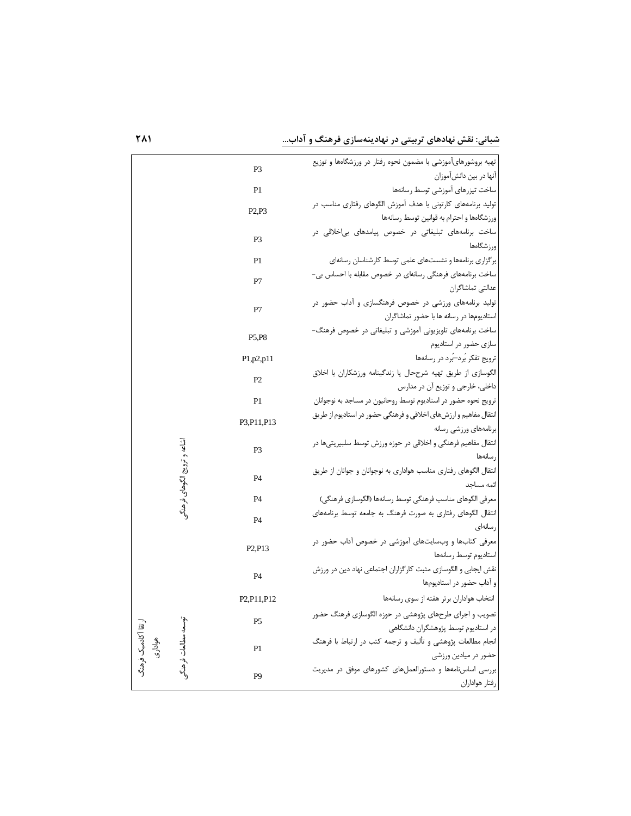شبانی: نقش نهادهای تربیتی در نهادینهسازی فرهنگ و آداب.

| P3                                             | تهیه بروشورهایآموزشی با مضمون نحوه رفتار در ورزشگاهها و توزیع    |
|------------------------------------------------|------------------------------------------------------------------|
|                                                | آنها در بين دانشآموزان                                           |
| P <sub>1</sub>                                 | ساخت تيزرهاى آموزشى توسط رسانهها                                 |
| P2.P3                                          | تولید برنامههای کارتونی با هدف آموزش الگوهای رفتاری مناسب در     |
|                                                | ورزشگاهها و احترام به قوانین توسط رسانهها                        |
| P <sub>3</sub>                                 | ساخت برنامههای تبلیغاتی در خصوص پیامدهای بی خلاقی در             |
|                                                | ورزشگاهها                                                        |
| P <sub>1</sub>                                 | برگزاری برنامهها و نشستهای علمی توسط کارشناسان رسانهای           |
| P7                                             | ساخت برنامههای فرهنگی رسانهای در خصوص مقابله با احساس بی-        |
|                                                | عدالتي تماشاگران                                                 |
| P7                                             | تولید برنامههای ورزشی در خصوص فرهنگسازی و آداب حضور در           |
|                                                | استادیومها در رسانه ها با حضور تماشاگران                         |
| P5,P8                                          | ساخت برنامههای تلویزیونی آموزشی و تبلیغاتی در خصوص فرهنگ-        |
|                                                | سازی حضور در استادیوم                                            |
| P1,p2,p11                                      | ترویج تفکر بُرد—بُرد در رسانهها                                  |
| P2                                             | الگوسازی از طریق تهیه شرححال یا زندگینامه ورزشکاران با اخلاق     |
|                                                | داخلي، خارجي و توزيع آن در مدارس                                 |
| P1                                             | ترويج نحوه حضور در استاديوم توسط روحانيون در مساجد به نوجوانان   |
| P3, P11, P13                                   | انتقال مفاهیم و ارزشهای اخلاقی و فرهنگی حضور در استادیوم از طریق |
|                                                | برنامههای ورزشی رسانه                                            |
| P <sub>3</sub>                                 | انتقال مفاهیم فرهنگی و اخلاقی در حوزه ورزش توسط سلبیریتی ها در   |
|                                                | رسانهها                                                          |
| P <sub>4</sub>                                 | انتقال الگوهای رفتاری مناسب هواداری به نوجوانان و جوانان از طریق |
| اشاعه و ترويج الگوهاي فرهنگو                   | ائمه مساحد                                                       |
| <b>P4</b>                                      | معرفي الگوهاي مناسب فرهنگي توسط رسانهها (الگوسازي فرهنگي)        |
| P <sub>4</sub>                                 | انتقال الگوهای رفتاری به صورت فرهنگ به جامعه توسط برنامههای      |
|                                                | رسانهای                                                          |
| P <sub>2</sub> ,P <sub>13</sub>                | معرفی کتابها و وبسایتهای آموزشی در خصوص آداب حضور در             |
|                                                | استاديوم توسط رسانهها                                            |
| <b>P4</b>                                      | نقش ایجابی و الگوسازی مثبت کارگزاران اجتماعی نهاد دین در ورزش    |
|                                                | و آداب حضور در استادیومها                                        |
| P <sub>2</sub> P <sub>11</sub> P <sub>12</sub> | انتخاب هواداران برتر هفته از سوی رسانهها                         |
| P <sub>5</sub>                                 | تصویب و اجرای طرحهای پژوهشی در حوزه الگوسازی فرهنگ حضور          |
|                                                | در استادیوم توسط پژوهشگران دانشگاهی                              |
| هوادارى<br>P <sub>1</sub>                      | انجام مطالعات پژوهشی و تألیف و ترجمه کتب در ارتباط با فرهنگ      |
| توسعه مطالعات فرهنگم<br>رتقا آكادميك فرهنگ     | حضور در میادین ورزشی                                             |
| P <sub>9</sub>                                 | بررسی اساسiامهها و دستورالعملهای کشورهای موفق در مدیریت          |
|                                                | رفتار هواداران                                                   |

1 V **1** ... . . . . . . . . . . . . . . <u>.</u>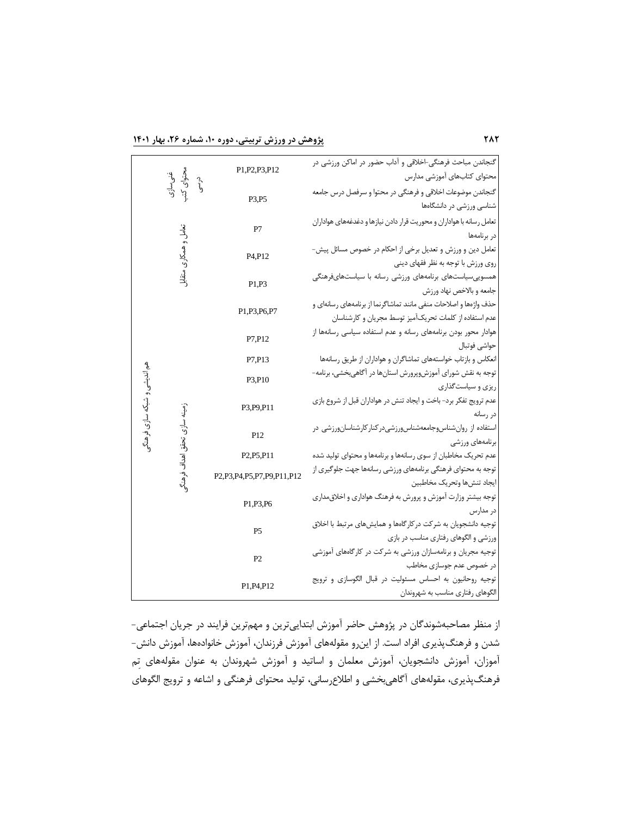**282 پژوهش در ورزش تربیتی، دوره ،10 شماره ،26 بهار 1401**

|                              |                                | P1, P2, P3, P12                                 | گنجاندن مباحث فرهنگی-اخلاقی و آداب حضور در اماکن ورزشی در<br>محتواي كتابهاي آموزشي مدارس      |
|------------------------------|--------------------------------|-------------------------------------------------|-----------------------------------------------------------------------------------------------|
|                              | غنی سازی<br>محتوای کتب<br>درسی |                                                 |                                                                                               |
|                              |                                | P3,P5                                           | گنجاندن موضوعات اخلاقى و فرهنگى در محتوا و سرفصل درس جامعه                                    |
|                              |                                |                                                 | شناسی ورزشی در دانشگاهها                                                                      |
|                              |                                | P7                                              | تعامل رسانه با هواداران و محوريت قرار دادن نيازها و دغدغههاي هواداران                         |
|                              |                                |                                                 | در برنامهها                                                                                   |
|                              | تعامل و همکاری متقابل          | P <sub>4</sub> P <sub>12</sub>                  | تعامل دین و ورزش و تعدیل برخی از احکام در خصوص مسائل پیش-                                     |
|                              |                                |                                                 | روی ورزش با توجه به نظر فقهای دینی                                                            |
|                              |                                | P1,P3                                           | همسوییسیاستهای برنامههای ورزشی رسانه با سیاستهایفرهنگی                                        |
|                              |                                |                                                 | جامعه و بالاخص نهاد ورزش<br>حذف واژهها و اصلاحات منفی مانند تماشاگرنما از برنامههای رسانهای و |
|                              |                                | P1, P3, P6, P7                                  | عدم استفاده از كلمات تحريك آميز توسط مجريان و كارشناسان                                       |
|                              |                                |                                                 | هوادار محور بودن برنامههای رسانه و عدم استفاده سیاسی رسانهها از                               |
|                              |                                | P7.P12                                          | حواشى فوتبال                                                                                  |
|                              |                                | P7.P13                                          | انعکاس و بازتاب خواستههای تماشاگران و هواداران از طریق رسانهها                                |
|                              |                                |                                                 | توجه به نقش شورای آموزش٫پرورش استانها در آگاهیِبخشی، برنامه–                                  |
|                              |                                | P3,P10                                          | ریزی و سیاستگذاری                                                                             |
| هم اندیشی و شبکه سازی فرهنگر |                                |                                                 | عدم ترويج تفكر برد- باخت و ايجاد تنش در هواداران قبل از شروع بازي                             |
|                              | زمینه سازی تحقق اهداف فرهنگر   | P3.P9.P11                                       | در رسانه                                                                                      |
|                              |                                |                                                 |                                                                                               |
|                              |                                | P <sub>12</sub>                                 | برنامههای ورزشی                                                                               |
|                              |                                | P <sub>2</sub> .P <sub>5</sub> .P <sub>11</sub> | عدم تحریک مخاطبان از سوی رسانهها و برنامهها و محتوای تولید شده                                |
|                              |                                | P2,P3,P4,P5,P7,P9,P11,P12                       | توجه به محتوای فرهنگی برنامههای ورزشی رسانهها جهت جلوگیری از                                  |
|                              |                                |                                                 | ايجاد تنشءا وتحريك مخاطبين                                                                    |
|                              |                                | P1, P3, P6                                      | توجه بیشتر وزارت آموزش و پرورش به فرهنگ هواداری و اخلاق مداری                                 |
|                              |                                | P <sub>5</sub>                                  | در مدارس                                                                                      |
|                              |                                |                                                 | توجیه دانشجویان به شرکت درکارگاهها و همایشهای مرتبط با اخلاق                                  |
|                              |                                |                                                 | ورزشی و الگوهای رفتاری مناسب در بازی                                                          |
|                              |                                | P <sub>2</sub>                                  | توجیه مجریان و برنامهسازان ورزشی به شرکت در کارگاههای آموزشی                                  |
|                              |                                |                                                 | در خصوص عدم جوسازى مخاطب                                                                      |
|                              |                                | P1, P4, P12                                     | توجيه روحانيون به احساس مسئوليت در قبال الگوسازي و ترويج                                      |
|                              |                                |                                                 | الگوهای رفتاری مناسب به شهروندان                                                              |

از منظر مصاحبه شوندگان در پژوهش حاضر آموزش ابتدایی ترین و مهم ترین فرایند در جریان اجتماعی - شدن و فرهنگ پذیری افراد است. از اینرو مقولههای آموزش فرزندان، آموزش خانوادهها، آموزش دانش-آموزان، آموزش دانشجویان، آموزش معلمان و اساتید و آموزش شهروندان به عنوان مقوله های ت م فرهنگ پذیری ، مقوله های آگاهی بخشی و اطالع رسانی، تولید محتوای فرهنگی و اشاعه و ترویج الگوهای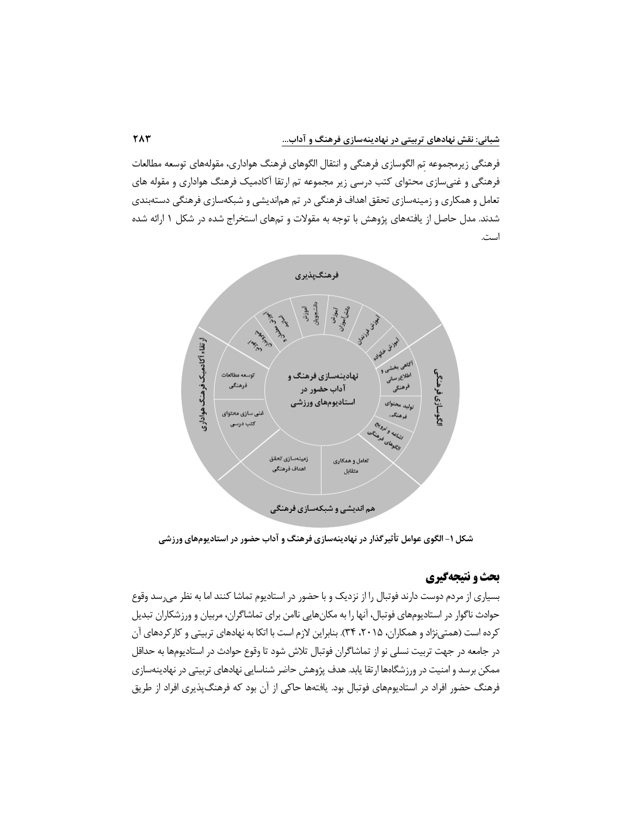فرهنگی زیرمجموعه تم الگوسازی فرهنگی و انتقال الگوهای فرهنگ هواداری، مقولههای توسعه مطالعات فرهنگی و غنی سازی محتوای کتب درسی زیر مجموعه تم ارتقا آکادمیک فرهنگ هواداری و مقوله های تعامل و همکاری و زمینه سازی تحقق اهداف فرهنگی در تم هم اندیشی و شبکه سازی فرهنگی دسته بندی شدند. مدل حاصل از یافته های پژوهش با توجه به مقوالت و تم های استخراج شده در شکل 1 ارائه شده است.



**شکل -1 الگوی عوامل تأثیرگذار در نهادينه سازی فرهنگ و آداب حضور در استاديوم های ورزشی** 

# **بحث و نتیجه گیری**

بسیاری از مردم دوست دارند فوتبال را از نزدیک و با حضور در استادیوم تماشا کنند اما به نظر می <sub>د</sub>سد وقوع حوادث ناگوار در استادیومهای فوتبال، آنها را به مکانهایی ناامن برای تماشاگران، مربیان و ورزشکاران تبدیل کرده است (همتی نژاد و همکاران، ۲۰۱۵، ۳۴). بنابراین لازم است با اتکا به نهادهای تربیتی و کارکردهای آن در جامعه در جهت تربیت نسلی نو از تماشاگران فوتبال تالش شود تا وقوع حوادث در استادیوم ها به حداقل ممکن برسد و امنیت در ورزشگاهها ارتقا یابد. هدف پژوهش حاضر شناسایی نهادهای تربیتی در نهادینهسازی فرهنگ حضور افراد در استادیومهای فوتبال بود. یافتهها حاکی از آن بود که فرهنگ $بذیری افراد از طریق$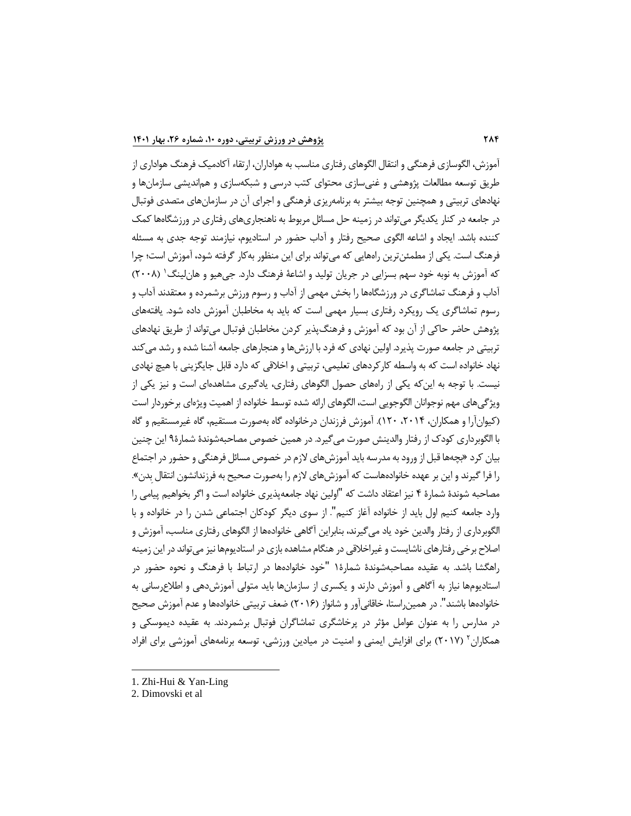آموزش، الگوسازی فرهنگی و انتقال الگوهای رفتاری مناسب به هواداران، ارتقا ء آکادمیک فرهنگ هواداری از طریق توسعه مطالعات پژوهشی و غنی سازی محتوای کتب درسی و شبکه سازی و هم اندیشی سازمان ها و نهادهای تربیتی و همچنین توجه بیشتر به برنامه ریزی فرهنگی و اجرای آن در سازمان های متصدی فوتبال در جامعه در کنار یکدیگر می تواند در زمینه حل مسائل مربوط به ناهنجاری های رفتاری در ورزشگاه ها کمک کننده باشد. ایجاد و اشاعه الگوی صحیح رفتار و آداب حضور در استادیوم ، نیازمند توجه جدی به مسئله فرهنگ است. یکی از مطمئن ترین راههایی که می تواند برای این منظور به کار گرفته شود، آموزش است؛ چرا که آموزش به نوبه خود سهم بسزایی در جریان تولید و اشاعهٔ فرهنگ دارد. جیهیو و هانِلینگ' (۲۰۰۸) آداب و فرهنگ تماشاگری در ورزشگاه ها را بخش مهمی از آداب و رسوم ورزش برشمرده و معتقدند آداب و رسوم تماشاگری یک رویکرد رفتاری بسیار مهمی است که باید به مخاطبان آموزش داده شود. یافته های پژوهش حاضر حاکی از آن بود که آموزش و فرهنگ پذیر کردن مخاطبان فوتبال می تواند از طریق نهادهای تربیتی در جامعه صورت پذیرد. اولین نهادی که فرد با ارزش ها و هنجارهای جامعه آشنا شده و رشد می کند نهاد خانواده است که به واسطه کارکردهای تعلیمی، تربیتی و اخلاقی که دارد قابل جایگزینی با هیچ نهادی نیست. با توجه به این که یکی از راههای حصول الگوهای رفتاری، یادگیری مشاهدهای است و نیز یکی از ویژگی های مهم نوجوانان الگوجویی است، الگوهای ارائه شده توسط خانواده از اهمیت ویژه ای برخوردار است (کیوان آرا و همکاران، ۲۰۱۴، ۱۲۰). آموزش فرزندان درخانواده گاه بهصورت مستقیم، گاه غیرمستقیم و گاه با الگوبرداری کودك از رفتار والدینش صورت می گیرد. در همین خصوص مصاحبه شوندۀ شمارۀ 9 این چنین بیان کرد » بچه ها قبل از ورود به مدرسه باید آموزش های الزم در خصوص مسائل فرهنگی و حضور در اجتماع را فرا گیرند و این بر عهده خانوادههاست که آموزش های لازم را بهصورت صحیح به فرزندانشون انتقال بدن». مصاحبه شوندۀ شمارۀ 4 نیز اعتقاد داشت که "اولین نهاد جامعه پذیری خانواده است و اگر بخواهیم پیامی را وارد جامعه کنیم اول باید از خانواده آغاز کنیم ". از سوی دیگر کودکان اجتماعی شدن را در خانواده و با الگوبرداری از رفتار والدین خود یاد می گیرند، بنابراین آگاهی خانواده ها از الگوهای رفتاری مناسب، آموزش و اصالح برخی رفتارهای ناشایست و غیراخالقی در هنگام مشاهده بازی در استادیوم ها نیز می تواند در این زمینه راهگشا باشد. به عقیده مصاحبه شوندۀ شمارۀ 1 "خود خانواده ها در ارتباط با فرهنگ و نحوه حضور در استادیوم ها نیاز به آگاهی و آموزش دارند و یکسری از سازمان ها باید متولی آموزش دهی و اطالع رسانی به خانوادهها باشند". در همین,راستا، خاقانی آور و شانواز (۲۰۱۶) ضعف تربیتی خانوادهها و عدم آموزش صحیح در مدارس را به عنوان عوامل مؤثر در پرخاشگری تماشاگران فوتبال برشمردند. به عقیده دیموسکی و همکاران<sup>۲</sup> (۲۰۱۷) برای افزایش ایمنی و امنیت در میادین ورزشی، توسعه برنامههای آموزشی برای افراد

<sup>1.</sup> Zhi-Hui & Yan-Ling

<sup>2.</sup> Dimovski et al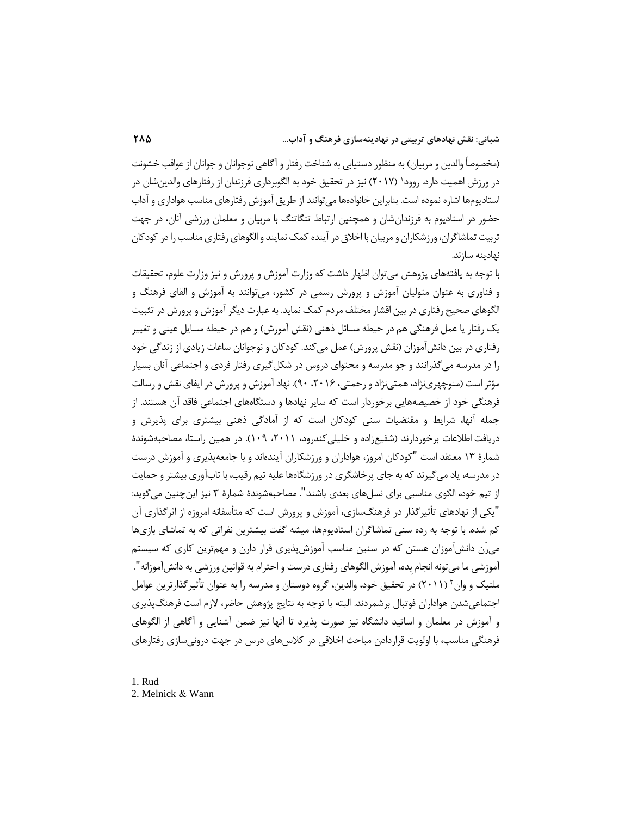(مخصوصاً والدین و مربیان) به منظور دستیابی به شناخت رفتار و آگاهی نوجوانان و جوانان از عواقب خشونت در ورزش اهمیت دارد. روود' (۲۰۱۷) نیز در تحقیق خود به الگوبرداری فرزندان از رفتارهای والدینشان در استادیوم ها اشاره نموده است. بنابراین خانواده ها می توانند از طریق آموزش رفتارهای مناسب هواداری و آداب حضور در استادیوم به فرزندان شان و همچنین ارتباط تنگاتنگ با مربیان و معلمان ورزشی آنان، در جهت تربیت تماشاگران، ورزشکاران و مربیان با اخالق در آینده کمک نمایند و الگوهای رفتاری مناسب را در کودکان نهادینه سازند.

با توجه به یافته های پژوهش می توان اظهار داشت که وزارت آموزش و پرورش و نیز وزارت علوم، تحقیقات و فناوری به عنوان متولیان آموزش و پرورش رسمی در کشور، می توانند به آموزش و القای فرهنگ و الگوهای صحیح رفتاری در بین اقشار مختلف مردم کمک نماید. به عبارت دیگر آموزش و پرورش در تثبیت یک رفتار یا عمل فرهنگی هم در حیطه مسائل ذهنی (نقش آموزش) و هم در حیطه مسایل عینی و تغییر رفتاری در بین دانش آموزان )نقش پرورش( عمل می کند. کودکان و نوجوانان ساعات زیادی از زندگی خود را در مدرسه می گذرانند و جو مدرسه و محتوای دروس در شکل گیری رفتار فردی و اجتماعی آنان بسیار مؤثر است (منوچهری نژاد، همتی نژاد و رحمتی، ۲۰۱۶، ۹۰). نهاد آموزش و پرورش در ایفای نقش و رسالت فرهنگی خود از خصیصه هایی برخوردار است که سایر نهادها و دستگاه های اجتماعی فاقد آن هستند. از جمله آنها، شرایط و مقتضیات سنی کودکان است که از آمادگی ذهنی بیشتری برای پذیرش و دریافت اطلاعات برخوردارند (شفیع;اده و خلیلی کندرود، ۲۰۱۱، ۱۰۹). در همین راستا، مصاحبهشوندۀ شمارۀ 13 معتقد است "کودکان امروز، هواداران و ورزشکاران آینده اند و با جامعه پذیری و آموزش درست در مدرسه، یاد می گیرند که به جای پرخاشگری در ورزشگاه ها علیه تیم رقیب، با تاب آوری بیشتر و حمایت از تیم خود، الگوی مناسبی برای نسل های بعدی باشند ". مصاحبه شوندۀ شمارۀ 3 نیز این چنین می گوید: "یکی از نهادهای تأثیرگذار در فرهنگ سازی، آموزش و پرورش است که متأسفانه امروزه از اثرگذاری آن کم شده. با توجه به رده سنی تماشاگران استادیوم ها، میشه گفت بیشترین نفراتی که به تماشای بازی ها می رَن دانش آموزان هستن که در سنین مناسب آموزش پذیری قرار دارن و مهم ترین کاری که سیستم آموزشی ما می تونه انجام بده، آموزش الگوهای رفتاری درست و احترام به قوانین ورزشی به دانش آموزانه". ملنیک و وان ۲ (۲۰۱۱) در تحقیق خود، والدین، گروه دوستان و مدرسه را به عنوان تأثیرگذارترین عوامل اجتماعی شدن هواداران فوتبال برشمردند. البته با توجه به نتایج پ ژ وهش حاضر، الزم است فرهنگ پذیری و آموزش در معلمان و اساتید دانشگاه نیز صورت پذیرد تا آنها نیز ضمن آشنایی و آگاهی از الگوهای فرهنگی مناسب، با اولویت قراردادن مباحث اخالقی در کالس های درس در جهت درونی سازی رفتارهای

1. Rud

<sup>2.</sup> Melnick & Wann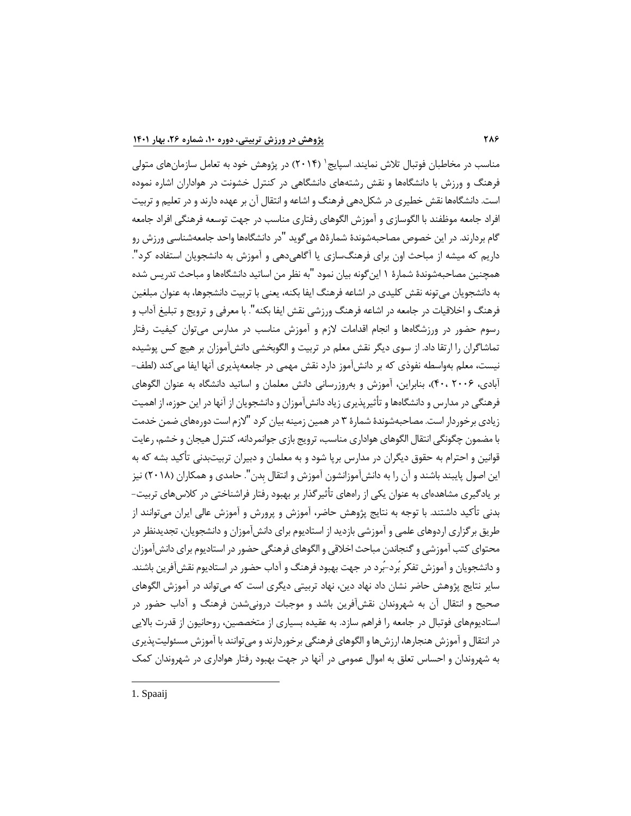مناسب در مخاطبان فوتبال تلاش نمایند. اسپایج` (۲۰۱۴) در پژوهش خود به تعامل سازمانهای متولی فرهنگ و ورزش با دانشگاهها و نقش رشتههای دانشگاهی در کنترل خشونت در هواداران اشاره نموده است. دانشگاه ها نقش خطیری در شکل دهی فرهنگ و اشاعه و انتقال آن بر عهده دارند و در تعلیم و تربیت افراد جامعه موظفند با الگوسازی و آموزش الگوهای رفتاری مناسب در جهت توسعه فرهنگی افراد جامعه گام بردارند. در این خصوص مصاحبه شوندۀ شمارۀ 5 می گوید "در دانشگاه ها واحد جامعه شناسی ورزش رو داریم که میشه از مباحث اون برای فرهنگ سازی یا آگاهی دهی و آموزش به دانشجویان استفاده کرد ". همچنین مصاحبه شوندۀ شمارۀ 1 این گونه بیان نمود "به نظر من اساتید دانشگاه ها و مباحث تدریس شده به دانشجویان می تونه نقش کلیدی در اشاعه فرهنگ ایفا بکنه، یعنی با تربیت دانشجوها، به عنوان مبلغین فرهنگ و اخالقیات در جامعه در اشاعه فرهنگ ورزشی نقش ایفا بکنه ". ب ا معرفی و ترویج و تبلیغ آداب و رسوم حضور در ورزشگاهها و انجام اقدامات لازم و آموزش مناسب در مدارس می توان کیفیت رفتار تماشاگران را ارتقا داد. از سوی دیگر نقش معلم در تربیت و الگوبخشی دانش آموزان بر هیچ کس پوشیده نیست، معلم بهواسطه نفوذی که بر دانش آموز دارد نقش مهمی در جامعه پذیری آنها ایفا می کند (لطف-آبادی، 2006 ، 40(، بنابراین، آموزش و به روز رسانی دانش معلمان و اساتید دانشگاه به عنوان الگوهای فرهنگی در مدارس و دانشگاهها و تأثیرپذیری زیاد دانش آموزان و دانشجویان از آنها در این حوزه، از اهمیت زیادی برخوردار است. مصاحبه شوندۀ شمارۀ 3 در همین زمینه بیان کرد "الزم است دوره های ضمن خدمت با مضمون چگونگی انتقال الگوهای هواداری مناسب، ترویج بازی جوانمردانه، کنترل هیجان و خشم، رعایت قوانین و احترام به حقوق دیگران در مدارس برپا شود و به معلمان و دبیران تربیت بدنی تأکید بشه که به این اصول پایبند باشند و آن را به دانش آموزانشون آموزش و انتقال بدن". حامدی و همکاران (۲۰۱۸) نیز بر یادگیری مشاهدهای به عنوان یکی از راههای تأثیرگذار بر بهبود رفتار فراشناختی در کلاس های تربیت– بدنی تأکید داشتند. با توجه به نتایج پژوهش حاضر، آموزش و پرورش و آموزش عالی ایران می توانند از طریق برگزاری اردوهای علمی و آموزشی بازدید از استادیوم برای دانش آموزان و دانشجویان ، تجدیدنظر در محتوای کتب آموزشی و گنجاندن مباحث اخالقی و الگوهای فرهنگی حضور در استادیوم برای دانش آموزان و دانشجویان و آموزش تفکر بُرد-بُرد در جهت بهبود فرهنگ و آداب حضور در استادیوم نقش آفرین باشند. سایر نتایج پژوهش حاضر نشان داد نهاد دین، نهاد تربیتی دیگری است که می تواند در آموزش الگوهای صحیح و انتقال آن به شهروندان نقش آفرین باشد و موجبات درونی شدن فرهنگ و آداب حضور در استادیوم های فوتبال در جامعه را فراهم سازد. به عقیده بسیاری از متخصصین، روحانیون از قدرت باالیی در انتقال و آموزش هنجارها، ارزش ها و الگوهای فرهنگی برخوردارند و می توانند با آموزش مسئولیت پذیری به شهروندان و احساس تعلق به اموال عمومی در آنها در جهت بهبود رفتار هواداری در شهروندان کمک

1. Spaaij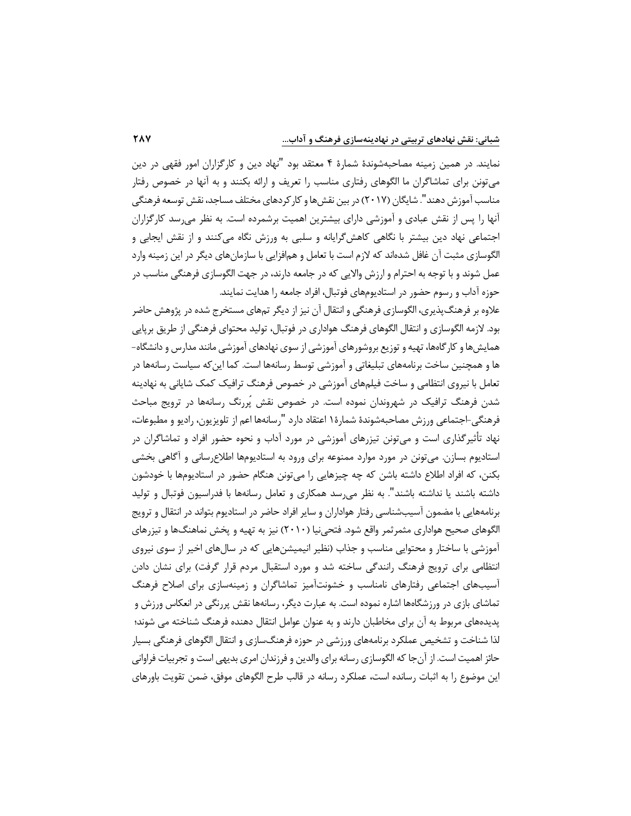نمایند. در همین زمینه مصاحبه شوندۀ شمارۀ 4 معتقد بود "نهاد دین و کارگزاران امور فقهی در دین می تونن برای تماشاگران ما ا لگوهای رفتاری مناسب را تعریف و ارائه بکنند و به آنها در خصوص رفتار مناسب آموزش دهند". شایگان (۲۰۱۷) در بین نقش ها و کار کردهای مختلف مساجد، نقش توسعه فرهنگی آنها را پس از نقش عبادی و آموزشی دارای بیشترین اهمیت برشمرده است . ب ه نظر می رسد کارگزاران اجتماعی نهاد دین بیشتر با نگاهی کاهش گرایانه و سلبی به ورزش نگاه می کنند و از نقش ایجابی و الگوسازی مثبت آن غافل شده اند که الزم است با تعامل و هم افزایی با سازمان های دیگر در این زمینه وارد عمل شوند و با توجه به احترام و ارزش والایی که در جامعه دارند، در جهت الگوسازی فرهنگی مناسب در حوزه آداب و رسوم حضور در استادیوم های فوتبال ، افراد جامعه را هدایت نمایند.

علاوه بر فرهنگ پذیری، الگوسازی فرهنگی و انتقال آن نیز از دیگر تمهای مستخرج شده در پژوهش حاضر بود. الزمه الگوسازی و انتقال الگوهای فرهنگ هواداری در فوتبال، تولید محتوای فرهنگی از طریق برپایی همایش ها و کارگاهها، تهیه و توزیع بروشورهای آموزشی از سوی نهادهای آموزشی مانند مدارس و دانشگاه– ها و همچنین ساخت برنامه های تبلیغاتی و آموزشی توسط رسانه ها است . کما این که سیاست رسانه ها در تعامل با نیر وی انتظامی و ساخت فیلم های آموزشی در خصوص فرهنگ ترافیک کمک شایانی به نهادینه شدن فرهنگ ترافیک در شهروندان نموده است . در خصوص نقش پ ررنگ رسانه ها در ترویج مباحث فرهنگی - اجتماعی ورزش مصاحبه شوندۀ شمارۀ 1 اعتقاد دارد "رسانه ها اعم از تلویزیون، رادیو و مطبوعات، نهاد تأثیرگذاری است و می تونن تیزرهای آموزشی در مورد آداب و نحوه حضور افراد و تماشاگران در استادیوم بسازن. می تونن در مورد موارد ممنوعه برای ورود به استادیومها اطلاع رسانی و آگاهی بخشی بکنن، که افراد اطالع داشته باشن که چه چیزهایی را می تونن هنگام حضور در استادیوم ها با خودشون داشته باشند یا نداشته باشند". به نظر می<sub>،</sub>رسد همکاری و تعامل رسانهها با فدراسیون فوتبال و تولید برنامه هایی با مضمون آسیب شناسی رفتار هواداران و سایر افراد حاضر در استادیوم بتواند در انتقال و ترویج الگوهای صحیح هواداری مثمرثمر واقع شود. فتحی نیا ) 2010( نیز به تهیه و پخش نماهنگ ها و تیزرهای آموزشی با ساختار و محتوایی مناسب و جذاب (نظیر انیمیشن هایی که در سال های اخیر از سوی نیروی انتظامی برای ترویج فرهنگ رانندگی ساخته شد و مورد استقبال مردم قرار گرفت) برای نشان دادن آسیب های اجتماعی رفتارهای نامناسب و خشونت آمیز تماشاگران و زمینه سازی برای اصال ح فرهنگ تماشای بازی در ورزشگاهها اشاره نموده است. به عبارت دیگر، رسانهها نقش پررنگی در انعکاس ورزش و پدیده های مربوط به آن برای مخاطبان دارند و به عنوان عوامل انتقال دهنده فرهنگ شناخته می شوند؛ لذا شناخت و تشخیص عملکرد برنامه های ورزشی در حوزه فرهنگ سازی و انتقال الگوهای فرهنگی بسیار حائز اهمیت است. از آن جا که الگوسازی رسانه برای والدین و فرزندان امری بدیهی است و تجربیات فراوانی این موضوع را به اثبات رسانده است، عملکرد رسانه در قالب طرح الگوهای موفق، ضمن تقویت باورهای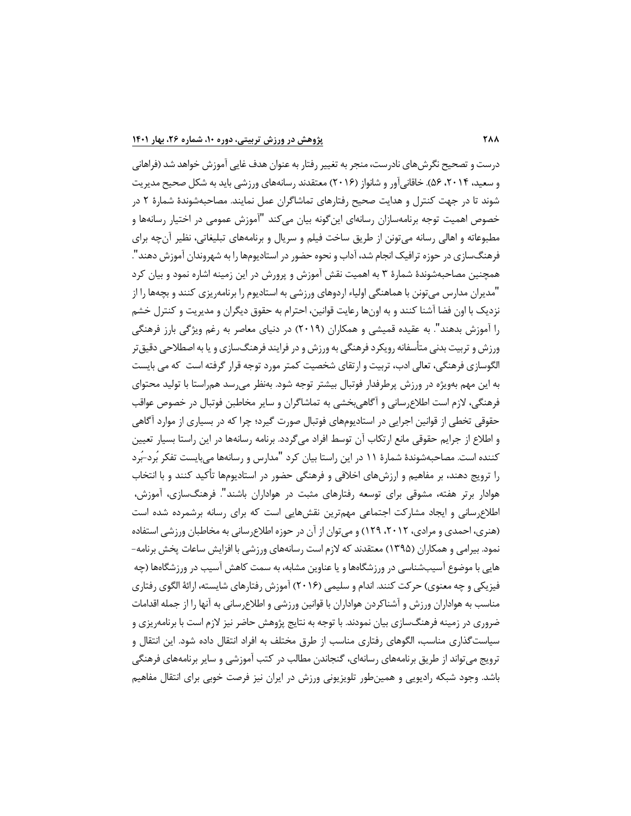درست و تصحیح نگرش های نادرست، منجر به تغییر رفتار به عنوان هدف غایی آموزش خواهد شد ) فراهانی و سعید، ۲۰۱۴، ۵۶). خاقانی آور و شانواز (۲۰۱۶) معتقدند رسانههای ورزشی باید به شکل صحیح مدیریت شوند تا در جهت کنترل و هدایت صحیح رفتارهای تماشاگران عمل نما یند . مصاحبه شوندۀ شمارۀ 2 در خصوص اهمیت توجه برنامهسازان رسانهای اینگونه بیان می کند "آموزش عمومی در اختیار رسانهها و مطبوعاته و اهالی رسانه می تونن از طریق ساخت فیلم و سریال و برنامه های تبلیغاتی، نظیر آن چه برای فرهنگ سازی در حوزه ترافیک انجام شد، آداب و نحوه حضور در استادیوم ها را به شهروندان آموزش دهند ". همچنین مصاحبه شوندۀ شمارۀ 3 به اهمیت نقش آموزش و پرورش در این زمینه اشاره نمود و بیان ک رد "مدیران مدارس می تونن با هماهنگی اولیاء اردوهای ورزشی به استادیوم را برنامه ریزی کنند و بچه ها را از نزدیک با اون فضا آشنا کنند و به اون ها رعایت قوانین، احترام به حقوق دیگران و مدیریت و کنترل خشم را آموزش بدهند ". به عقیده قمیشی و همکاران ) 2019( در دنیای معاصر به رغم ویژگی بارز فرهنگی ورزش و تربیت بدنی متأسفانه رویکرد فرهنگی به ورزش و در فرایند فرهنگ سازی و یا به اصطلاحی دقیق تر الگوسازی فرهنگی، تعالی ادب، تربیت و ارتقای شخصیت کمتر مورد توجه قرار گرفته است که می بایست به این مهم بهویژه در ورزش پرطرفدار فوتبال بیشتر توجه شود. بهنظر می رسد همراستا با تولید محتوای فرهنگی، الزم است اطالع رسانی و آگاهی بخشی به تماشاگران و سایر مخاطبن فوتبال در خصوص عواقب حقوقی تخطی از قوانین اجرایی در استادیوم های فوتبال صورت گیرد ؛ چرا که در بسیاری از موارد آگاهی و اطلاع از جرایم حقوقی مانع ارتکاب آن توسط افراد می گردد. برنامه رسانهها در این راستا بسیار تعیین کننده است. مصاحبهشوندۀ شمارۀ ۱۱ در این راستا بیان کرد "مدارس و رسانهها می بایست تفکر بُرد-بُرد را ترویج دهند، بر مفاهیم و ارزش های اخالقی و فرهنگی حضور در استادیوم ها تأکید کنند و با انتخاب هوادار برتر هفته، مشوقی برای توسعه رفتارهای مثبت در هواداران باشند ". فرهنگ سازی، آموزش، اطالع رسانی و ایجاد مشارکت اجتماعی مهم ترین نقش هایی است که برای رسانه برشمرده شده است ) هنر ی ، احمدی و مرادی ، ،2012 129( و می توان از آن در حوزه اطالع رسانی به مخاطبان ورزشی استفاده نمود. بیرامی و همکاران (۱۳۹۵) معتقدند که لازم است رسانههای ورزشی با افزایش ساعات پخش برنامه-هایی با موضوع آسیبشناسی در ورزشگاهها و یا عناوین مشابه، به سمت کاهش آسیب در ورزشگاهها (چه فیزیکی و چه معنوی) حرکت کنند. اندام و سلیمی (۲۰۱۶) آموزش رفتارهای شایسته، ارائۀ الگوی رفتاری مناسب به هواداران ورزش و آشناکردن هواداران با قوانین ورزشی و اطالع رسانی به آنها را از جمله اقدامات ضروری در زمینه فرهنگ سازی بیان نمودند. با توجه به نتایج پژوهش حاضر نیز الزم است با برنامه ریزی و سیاست گذاری مناسب، الگوهای رفتاری مناسب از طرق مختلف به افراد انتقال داده شود. این انتقال و ترویج می تواند از طریق برنامههای رسانهای، گنجاندن مطالب در کتب آموزشی و سایر برنامههای فرهنگی باشد. وجود شبکه رادیویی و همین طور تلویزیونی ورزش در ایران نیز فرصت خوبی برای انتقال مفاهیم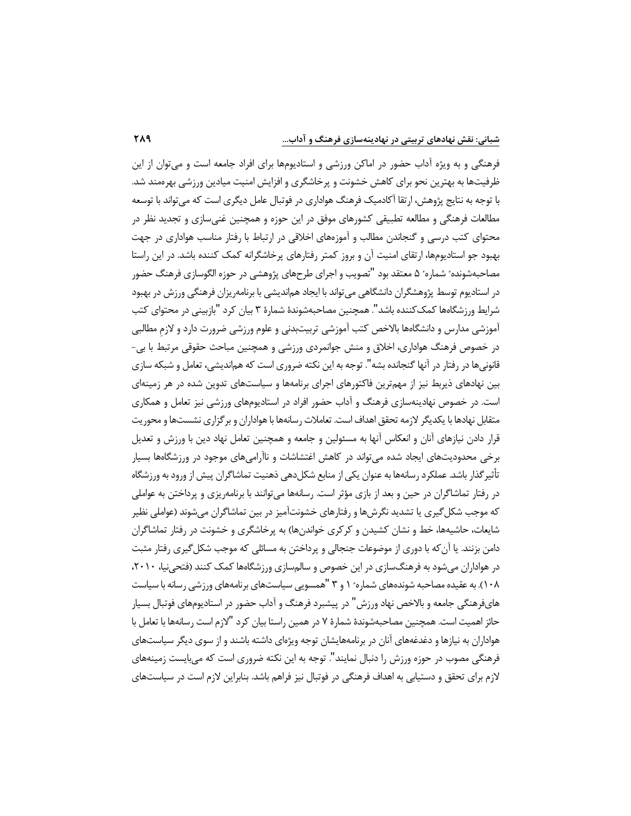فرهنگی و به ویژه آداب حضور در اماکن ورزشی و استادیوم ها برای افراد جامعه است و می توان از این ظرفیتها به بهترین نحو برای کاهش خشونت و پرخاشگری و افزایش امنیت میادین ورزشی بهرهمند شد. با توجه به نتایج پژوهش ، ارتقا آکادمیک فرهنگ هواداری در فوتبال عامل دیگری است که می تواند با توسعه مطالعات فرهنگی و مطالعه تطبیقی کشورهای موفق در این حوزه و همچنین غنی سازی و تجدید نظر در محتوای کتب درسی و گنجاندن مطالب و آموزههای اخلاقی در ارتباط با رفتار مناسب هواداری در جهت بهبود جو استادیوم ها، ارتقای امنیت آن و بروز کمتر رفتارهای پرخاشگرانه کمک کننده باشد. در این راستا مصاحبهشونده ٔ شماره ٔ ۵ معتقد بود "تصویب و اجرای طرحهای پژوهشی در حوزه الگوسازی فرهنگ حضور در استادیوم توسط پژوهشگران دانشگاهی می تواند با ایجاد هم اندیشی با برنامه ریزان فرهنگی ورزش در بهبود شرایط ورزشگاهها کمک کننده باشد". همچنین مصاحبهشوندۀ شمارۀ ۳ بیان کرد "بازبینی در محتوای کتب آموزشی مدارس و دانشگاه ها باالخص کتب آموزشی تربیت بدنی و علوم ورزشی ضرورت دارد و الزم مطالبی در خصوص فرهنگ هواداری، اخالق و منش جوانمردی ورزشی و همچنین مباحث حقوقی مرتبط با بی - قانونی ها در رفتار در آنها گنجانده بشه". توجه به این نکته ضروری است که هماندیشی، تعامل و شبکه سازی بین نهادهای ذیربط نیز از مهمترین فاکتورهای اجرای برنامهها و سیاستهای تدوین شده در هر زمینهای است . در خصوص نهادینه سازی فرهنگ و آداب حضور افراد در استادیوم های ورزشی نیز تعامل و همکاری متقابل نهادها با یکدیگر لازمه تحقق اهداف است. تعاملات رسانهها با هواداران و برگزاری نشستها و محوریت قرار دادن نیازهای آنان و انعکاس آنها به مسئولین و جامعه و همچنین تعامل نهاد دین با ورزش و تعدیل برخی محدودیت های ایجاد شده می تواند در کاهش اغتشاشات و ناآرامی های موجود در ورزشگاه ها بسیار تأثیر گذار باشد. عملکرد رسانهها به عنوان یکی از منابع شکل دهی ذهنیت تماشاگران پیش از ورود به ورزشگاه در رفتار تماشاگران در حین و بعد از بازی مؤثر است. رسانه ها می توانند با برنامه ریزی و پرداختن به عواملی که موجب شکل گیری یا تشدید نگرش ها و رفتارهای خشونت آمیز در بین تماشاگران می شوند )عواملی نظیر شایعات، حاشیهها، خط و نشان کشیدن و کرکری خواندنها) به پرخاشگری و خشونت در رفتار تماشاگران دامن بزنند. یا آن که با دوری از موضوعات جنجالی و پرد اختن به مسائلی که موجب شکل گیری رفتار مثبت در هواداران می شود به فرهنگ سازی در این خصوص و سالم سازی ورزشگاهها کمک کنند (فتحی نیا، ۲۰۱۰، ۱۰۸). به عقیده مصاحبه شوندههای شماره ٔ ۱ و ۳ "همسویی سیاستهای برنامههای ورزشی رسانه با سیاست هایفرهنگی جامعه و بالاخص نهاد ورزش" در پیشبرد فرهنگ و آداب حضور در استادیومهای فوتبال بسیار حائز اهمیت است . همچنین مصاحبه شوندۀ شمارۀ 7 در همین راستا بیان کرد "الزم است رسانه ها با تعامل با هواداران به نیازها و دغدغههای آنان در برنامههایشان توجه ویژهای داشته باشند و از سوی دیگر سیاستهای فرهنگی مصوب در حوزه ورزش را دنبال نمایند ". توجه به این نکته ضروری است که می بایست زمینه های الزم برای تحقق و دستیابی به اهداف فرهنگی در فوتبال نیز فراهم باشد. بنابراین الزم است در سیاست های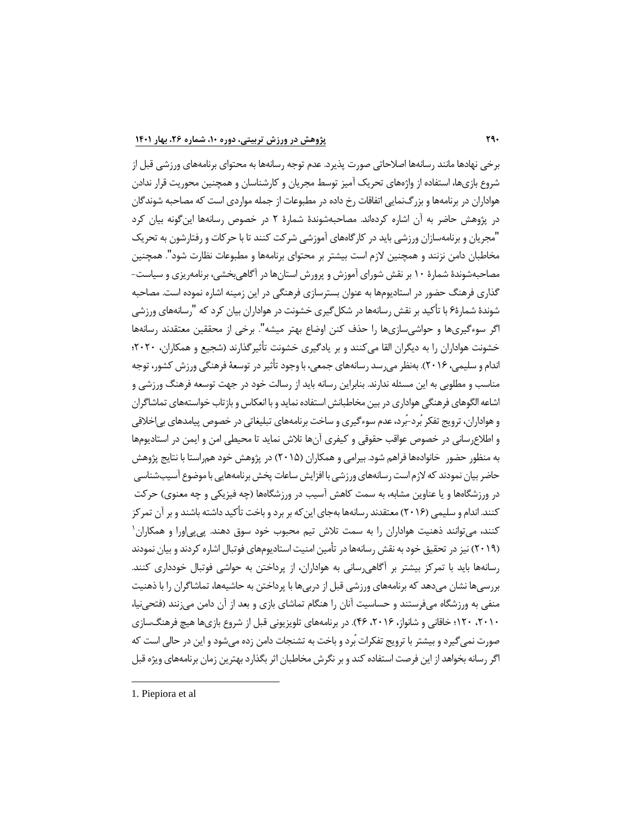برخی نهادها مانند رسانهها اصلاحاتی صورت پذیرد. عدم توجه رسانهها به محتوای برنامههای ورزشی قبل از شروع بازیها، استفاده از واژههای تحریک آمیز توسط مجریان و کارشناسان و همچنین محوریت قرار ندادن ه واداران در برنامه ها و بزرگ نمایی اتفاقات رخ داده در مطبوعات از جمله مواردی است که مصاحبه شوندگان در پژوهش حاضر به آن اشاره کرده اند. مصاحبه شوندۀ شمارۀ 2 در خصوص رسانه ها این گونه بیان کرد "مجریان و برنامه سازان ورزشی باید در کارگاه های آموزشی شرکت کنند تا با حرکات و رفتارشون به تحریک مخاطبان دامن نزنند و همچنین الزم است بیشتر بر محتوای برنامه ها و مطبوعات نظارت شود ". همچنین مصاحبه شوندۀ شمارۀ 10 بر نقش شورای آموزش و پرورش استان ها در آگاهی بخشی، برنامه ریزی و سیاست - گذاری فرهنگ حضور در استادیومها به عنوان بسترسازی فرهنگی در این زمینه اشاره نموده است. مصاحبه شوندۀ شمارۀ 6 با تأکید بر نقش رسانه ها در شکل گیری خشونت در هواداران بیان کرد که "رسانه های ورزشی اگر سوء گیری ها و حواشی سازی ها را حذف کنن اوضاع بهتر میشه ". برخی از محققین معتقدند رسانه ها خشونت هواداران را به دیگران القا می کنند و بر یادگیری خشونت تأثیرگذارند )شجیع و همکاران، 2020؛ اندام و سلیمی، 2016(. ب ه نظر می رسد رسانه های جمعی، با وجود تأثیر در توسعۀ فرهنگی ورزش کشور، توجه مناسب و مطلوبی به این مسئله ندارند. بنابراین رسانه باید از رسالت خود در جهت توسعه فرهنگ ورزشی و اشاعه الگوهای فرهنگی هواداری در بین مخاطبانش استفاده نماید و با انعکاس و بازتاب خواسته های تماشاگران و هواداران، ترویج تفکر بُرد-بُرد، عدم سوءگیری و ساخت برنامههای تبلیغاتی در خصوص پیامدهای بی اخلاقی و اطلاع رسانی در خصوص عواقب حقوقی و کیفری آنها تلاش نماید تا محیطی امن و ایمن در استادیومها به منظور حضور خانوادهها فراهم شود. بیرامی و همکاران (۲۰۱۵) در پژوهش خود هم راستا با نتایج پژوهش حاضر بیان نمودند که الزم است رسانه های ورزشی با افزایش ساعات پخش برنامه هایی با موضوع آسیب شناسی در ورزشگاهها و یا عناوین مشابه، به سمت کاهش آسیب در ورزشگاهها (چه فیزیکی و چه معنوی) حرکت کنند . اندام و سلیمی ) 2016( معتقدند رسانه ها به جای این که بر برد و باخت تأکید داشته باشند و بر آن تمرکز کنند، میتوانند ذهنیت هواداران را به سمت تلاش تیم محبوب خود سوق دهند. پی پی اورا و همکاران ۱ (۲۰۱۹) نیز در تحقیق خود به نقش رسانهها در تأمین امنیت استادیومهای فوتبال اشاره کردند و بیان نمودند رسانه ها باید با تمرکز بیشتر بر آگاهی رسانی به هواداران، از پرداختن به حواشی فوتبال خودداری کنند. بررسی ها نشان می دهد که برنامه های ورزشی قبل از دربی ها با پرداختن به حاشیه ها، تماشاگران را با ذهنیت منفی به ورزشگاه می فرستند و حساسیت آنان را هنگام تماشای بازی و بعد از آن دامن می زنند )فتحی نیا، ،2010 120؛ خاقانی و شانواز ، ،2016 46(. در برنامه های تلویزیونی قبل از شروع بازی ها هیچ فرهنگ سازی صورت نمی گیرد و بیشتر با ترویج تفکرات بُرد و باخت به تشنجات دامن زده می شود و این در حالی است که اگر رسانه بخواهد از این فرصت استفاده کند و بر نگرش مخاطبان اثر بگذارد بهترین زمان برنامه های ویژه قبل

<sup>1.</sup> Piepiora et al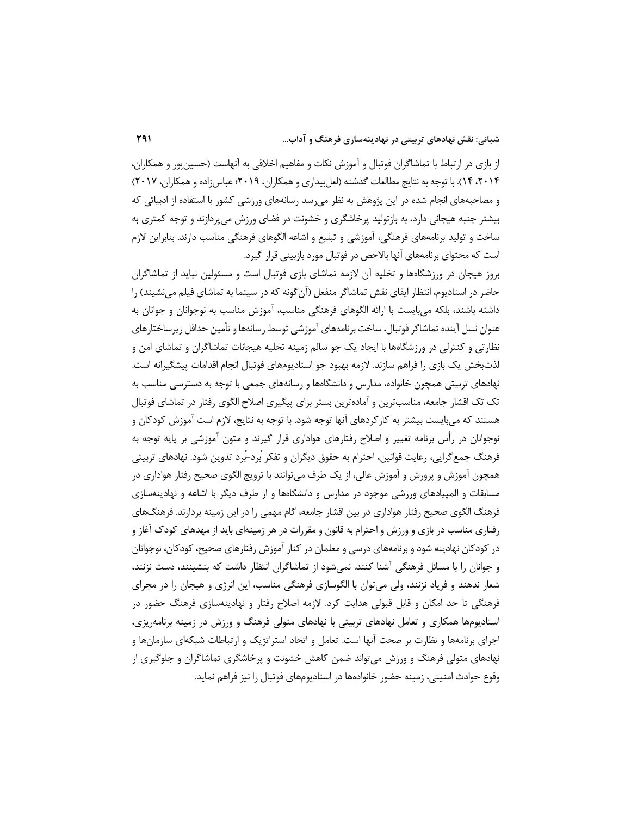از بازی در ارتباط با تماشاگران فوتبال و آموزش نکات و مفاهیم اخلاقی به آنهاست (حسین پور و همکاران، ،2014 14( . با توجه به نتایج مطالعات گذشته )لعل بیداری و همکاران، 2019؛ عباس زاده و همکاران، 2017( و مصاحبه های انجام شده در این پژوهش به نظر می رسد رسانه های ورزشی کشور با استفاده از ادبیاتی که بیشتر جنبه هیجانی دارد، به بازتولید پرخاشگری و خشونت در فضای ورزش می پردازند و توجه کمتری به ساخت و تولید برنامه های فرهنگی، آموزشی و تبلیغ و اشاعه الگوهای فرهنگی مناسب دارند . بنابراین الزم است که محتوای برنامه های آنها باالخص در فوتبال مورد بازبینی قرار گیرد.

بروز هیجان در ورزشگاهها و تخلیه آن لازمه تماشای بازی فوتبال است و مسئولین نباید از تماشاگران حاضر در استادیوم، انتظار ایفای نقش تماشاگر منفعل (آن گونه که در سینما به تماشای فیلم می نشیند) را داشته باشند، بلکه می بایست با ارائه الگوهای فرهنگی مناسب، آموزش مناسب به نوجوانان و جوانان به عنوان نسل آینده تماشاگر فوتبال، ساخت برنامه های آموزشی توسط رسانه ها و تأمین حداقل زیرساختارهای نظارتی و کنترلی در ورزشگاه ها با ایجاد یک جو سالم زمینه تخلیه هیجانات تماشاگران و تماشای امن و لذتبخش یک بازی را فراهم سازند. لازمه بهبود جو استادیومهای فوتبال انجام اقدامات پیشگیرانه است. نهادهای تربیتی همچون خانواده، مدارس و دانشگاه ها و رسانه های جمعی با توجه به دسترسی مناسب به تک تک اقشار جامعه ، مناسب ترین و آماده ترین بستر برای پیگیری اصالح الگوی رفتار در تماشای فوتبال هستند که می بایست بیشتر به کارکردهای آنها توجه شود. با توجه به نتایج، لازم است آموزش کودکان و نوجوانان در رأس برنامه تغییر و اصلاح رفتارهای هواداری قرار گیرند و متون آموزشی بر پایه توجه به فرهنگ جمع گرایی، رعایت قوانین، احترام به حقوق دیگران و تفکر بُرد-بُرد تدوین شود. نهادهای تربیتی همچون آموزش و پرورش و آموزش عالی، از یک طرف می توانند با ترویج الگوی صحیح رفتار هواداری در مسابقات و المپیادهای ورزشی موجود در مدارس و دانشگاهها و از طرف دیگر با اشاعه و نهادینهسازی فرهنگ الگوی صحیح رفتار هواداری در بین اقشار جامعه، گام مهمی را در این زمینه بردارند. فرهنگ های رفتاری مناسب در بازی و ورزش و احترام به قانون و مقررات در هر زمینهای باید از مهدهای کودک آغاز و در کودکان نهادینه شود و برنامه های درسی و معلمان در کنار آموزش رفتارهای صحیح، کودکان، نوجوانان و جوانان را با مسائل فرهنگی آشنا کنند. نمی شود از تماشاگران انتظار داشت که بنشینند، دست نزنند، شعار ندهند و فریاد نزنند، ولی می توان با الگوسازی فرهنگی مناسب، این انرژی و هیجان را در مجرای فرهنگی تا حد امکان و قابل قبولی هدایت کرد. لازمه اصلاح رفتار و نهادینهسازی فرهنگ حضور در استادیومها همکاری و تعامل نهادهای تربیتی با نهادهای متولی فرهنگ و ورزش در زمینه برنامه ریزی، اجرای برنامهها و نظارت بر صحت آنها است. تعامل و اتحاد استراتژیک و ارتباطات شبکهای سازمانها و نهادهای متولی فرهنگ و ورزش می تواند ضمن کاهش خشونت و پرخاشگری تماشاگران و جلوگیری از وقوع حوادث امنیتی، زمینه حضور خانوادهها در استادیومهای فوتبال را نیز فراهم نماید.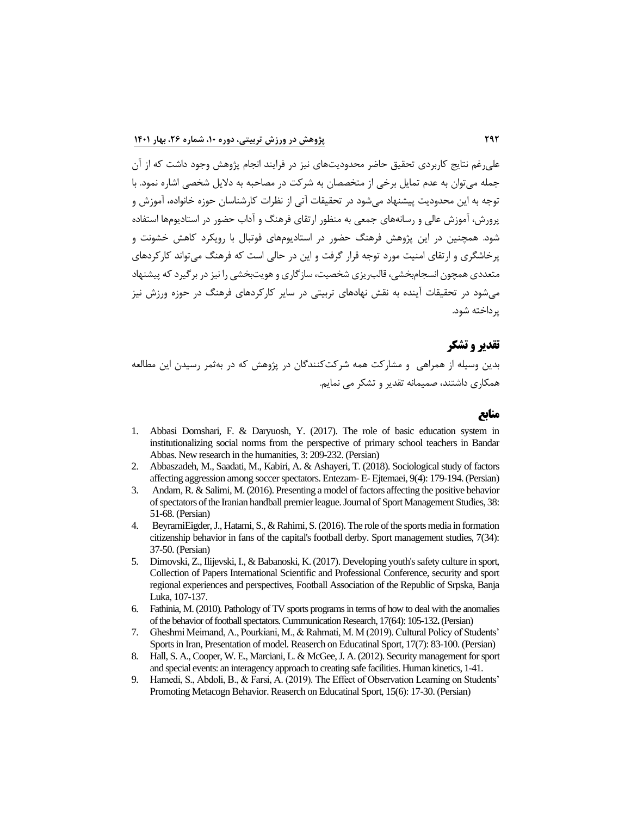علی رغم نتایج کاربردی تحقیق حاضر محدودیت های نیز در فرایند انجام پژوهش وجود داشت که از آن جمله می توان به عدم تمایل برخی از متخصصان به شرکت در مصاحبه به دالیل شخصی اشاره نمود. با توجه به این محدودیت پیشنهاد می شود در تحقیقات آتی از نظرات کارشناسان حوزه خانواده، آموزش و پرورش، آموزش عالی و رسانه های جمعی به منظور ارتقای فرهنگ و آداب حضور در استادیوم ها استفاده شود. همچنین در این پژوهش فرهنگ حضور در استادیوم های فوتبال با رویکرد کاهش خشونت و پرخ اشگری و ارتقای امنیت مورد توجه قرار گرفت و این در حالی است که فرهنگ می تواند کارکردهای متعددی همچون انسجام بخشی، قالب ریزی شخصیت، سازگاری و هویت بخشی را نیز در برگیرد که پیشنهاد می شود در تحقیقات آینده به نقش نهاد های تربیتی در سایر کارکردهای فرهنگ در حوزه ورزش نیز پرداخته شود.

# **تقدیر و تشکر**  بدین وسیله از همراهی و مشارکت همه شرکت کنندگان در پژوهش که در به ثمر رسیدن این مطالعه همکاری داشتند، صمیمانه تقدیر و تشکر می نمایم.

- 1. [Abbasi Domshari, F. & Daryuosh, Y. \(2017\). The role of basic education system in](https://www.noormags.ir/view/fa/articlepage/1290609/%D9%86%D9%82%D8%B4-%D9%86%D8%B8%D8%A7%D9%85-%D8%A7%D9%85%D9%88%D8%B2%D8%B4%DB%8C-%D9%BE%D8%A7%DB%8C%D9%87-%D8%AF%D8%B1-%D9%86%D9%87%D8%A7%D8%AF%DB%8C%D9%86%D9%87-%D8%B3%D8%A7%D8%B2%DB%8C-%D9%87%D9%86%D8%AC%D8%A7%D8%B1%D9%87%D8%A7%DB%8C-%D8%A7%D8%AC%D8%AA%D9%85%D8%A7%D8%B9%DB%8C-%D8%A7%D8%B2-%D8%AF%DB%8C%D8%AF%DA%AF%D8%A7%D9%87-%D9%85%D8%B9%D9%84%D9%85%D8%A7%D9%86-%D8%A7%D8%A8%D8%AA%D8%AF%D8%A7%DB%8C%DB%8C-%D8%B4%D9%87%D8%B1%D8%B3%D8%AA%D8%A7%D9%86-%D8%A8%D9%86%D8%AF%D8%B1%D8%B9%D8%A8%D8%A7%D8%B3)  [institutionalizing social norms from the perspective of primary school teachers in Bandar](https://www.noormags.ir/view/fa/articlepage/1290609/%D9%86%D9%82%D8%B4-%D9%86%D8%B8%D8%A7%D9%85-%D8%A7%D9%85%D9%88%D8%B2%D8%B4%DB%8C-%D9%BE%D8%A7%DB%8C%D9%87-%D8%AF%D8%B1-%D9%86%D9%87%D8%A7%D8%AF%DB%8C%D9%86%D9%87-%D8%B3%D8%A7%D8%B2%DB%8C-%D9%87%D9%86%D8%AC%D8%A7%D8%B1%D9%87%D8%A7%DB%8C-%D8%A7%D8%AC%D8%AA%D9%85%D8%A7%D8%B9%DB%8C-%D8%A7%D8%B2-%D8%AF%DB%8C%D8%AF%DA%AF%D8%A7%D9%87-%D9%85%D8%B9%D9%84%D9%85%D8%A7%D9%86-%D8%A7%D8%A8%D8%AA%D8%AF%D8%A7%DB%8C%DB%8C-%D8%B4%D9%87%D8%B1%D8%B3%D8%AA%D8%A7%D9%86-%D8%A8%D9%86%D8%AF%D8%B1%D8%B9%D8%A8%D8%A7%D8%B3)  [Abbas. New research in the humanities, 3: 209-232.](https://www.noormags.ir/view/fa/articlepage/1290609/%D9%86%D9%82%D8%B4-%D9%86%D8%B8%D8%A7%D9%85-%D8%A7%D9%85%D9%88%D8%B2%D8%B4%DB%8C-%D9%BE%D8%A7%DB%8C%D9%87-%D8%AF%D8%B1-%D9%86%D9%87%D8%A7%D8%AF%DB%8C%D9%86%D9%87-%D8%B3%D8%A7%D8%B2%DB%8C-%D9%87%D9%86%D8%AC%D8%A7%D8%B1%D9%87%D8%A7%DB%8C-%D8%A7%D8%AC%D8%AA%D9%85%D8%A7%D8%B9%DB%8C-%D8%A7%D8%B2-%D8%AF%DB%8C%D8%AF%DA%AF%D8%A7%D9%87-%D9%85%D8%B9%D9%84%D9%85%D8%A7%D9%86-%D8%A7%D8%A8%D8%AA%D8%AF%D8%A7%DB%8C%DB%8C-%D8%B4%D9%87%D8%B1%D8%B3%D8%AA%D8%A7%D9%86-%D8%A8%D9%86%D8%AF%D8%B1%D8%B9%D8%A8%D8%A7%D8%B3) (Persian)
- 2. [Abbaszadeh, M., Saadati, M., Kabiri, A. & Ashayeri, T. \(2018\). Sociological study of factors](http://ensani.ir/file/download/article/1559365901-9610-96-32.pdf)  [affecting aggression among soccer spectators. Entezam-](http://ensani.ir/file/download/article/1559365901-9610-96-32.pdf) E- Ejtemaei, 9(4): 179-194. (Persian)
- 3. [Andam, R. & Salimi, M. \(2016\). Presenting a model of factors affecting the positive behavior](https://smrj.ssrc.ac.ir/article_851_00a25e07b29b789aff02d068f11be673.pdf)  [of spectators of the Iranian handball premier league. Journal of Sport Management Studies, 38:](https://smrj.ssrc.ac.ir/article_851_00a25e07b29b789aff02d068f11be673.pdf)  [51-68.](https://smrj.ssrc.ac.ir/article_851_00a25e07b29b789aff02d068f11be673.pdf) (Persian)
- 4. [BeyramiEigder, J., Hatami, S., & Rahimi, S. \(2016\). The role of the sports media in formation](https://smrj.ssrc.ac.ir/article_708_35d558c3fb154c97eebae25ca36b1ecc.pdf)  [citizenship behavior in fans of the capital's football derby. Sport management studies, 7\(34\):](https://smrj.ssrc.ac.ir/article_708_35d558c3fb154c97eebae25ca36b1ecc.pdf)  [37-50. \(Persian\)](https://smrj.ssrc.ac.ir/article_708_35d558c3fb154c97eebae25ca36b1ecc.pdf)
- 5. [Dimovski, Z., Ilijevski, I., & Babanoski, K. \(2017\). Developing youth's safety culture in sport,](http://eprints.uklo.edu.mk/1889/)  [Collection of Papers International Scientific and Professional Conference, security and sport](http://eprints.uklo.edu.mk/1889/)  [regional experiences and perspectives, Football Association of the Republic of Srpska, Banja](http://eprints.uklo.edu.mk/1889/)  [Luka, 107-137.](http://eprints.uklo.edu.mk/1889/)
- 6. [Fathinia, M. \(2010\). Pathology of TV sports programs in terms of how to deal with the anomalies](https://www.sid.ir/fa/journal/ViewPaper.aspx?id=128166)  [of the behavior of football spectators. Cummunication Research, 17\(64\): 105-132](https://www.sid.ir/fa/journal/ViewPaper.aspx?id=128166)**.**(Persian)
- 7. [Gheshmi Meimand, A., Pourkiani, M., & Rahmati, M. M \(2019\). Cultural Policy of Students'](https://jsmd.guilan.ac.ir/article_3723.html)  [Sports in Iran, Presentation of model. Reaserch on Educatinal Sport, 17\(7\): 83-100. \(Persian\)](https://jsmd.guilan.ac.ir/article_3723.html)
- 8. [Hall, S. A., Cooper, W. E., Marciani, L. & McGee, J. A. \(2012\). Security management for sport](https://www.amazon.com/Security-Management-Sports-Special-Events/dp/0736071326)  [and special events: an interagency approach to creating safe facilities. Human kinetics, 1-41.](https://www.amazon.com/Security-Management-Sports-Special-Events/dp/0736071326)
- 9. [Hamedi, S., Abdoli, B., & Farsi, A. \(2019\). The Effect of Observation Learning on Students'](https://www.sid.ir/en/Journal/ViewPaper.aspx?ID=748436)  [Promoting Metacogn Behavior. Reaserch on Educatinal Sport, 15\(6\): 17-30. \(Persian\)](https://www.sid.ir/en/Journal/ViewPaper.aspx?ID=748436)

# **منابع**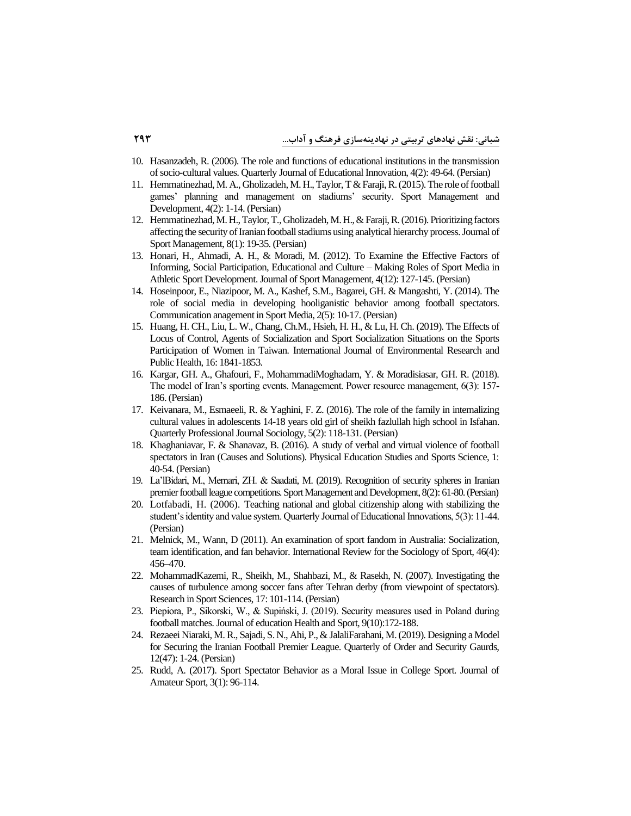- 10. [Hasanzadeh, R. \(2006\). The role and functions of educational institutions in the transmission](https://www.sid.ir/fa/journal/ViewPaper.aspx?ID=17473)  [of socio-cultural values. Quarterly Journal of Educational Innovation, 4\(2\): 49-64. \(Persian\)](https://www.sid.ir/fa/journal/ViewPaper.aspx?ID=17473)
- 11. [Hemmatinezhad, M. A., Gholizadeh, M. H., Taylor, T & Faraji, R. \(2015\). The role of football](https://jsmd.guilan.ac.ir/article_1592.html?lang=en)  [games' planning and management on stadiums' security. Sport Management and](https://jsmd.guilan.ac.ir/article_1592.html?lang=en)  [Development, 4\(2\): 1-14. \(Persian\)](https://jsmd.guilan.ac.ir/article_1592.html?lang=en)
- 12. [Hemmatinezhad, M. H., Taylor, T., Gholizadeh, M. H., & Faraji, R. \(2016\). Prioritizing factors](https://jsm.ut.ac.ir/article_58249.html?lang=en)  [affecting the security of Iranian football stadiums using analytical hierarchy process. Journal of](https://jsm.ut.ac.ir/article_58249.html?lang=en)  [Sport Management, 8\(1\): 19-35. \(Persian\)](https://jsm.ut.ac.ir/article_58249.html?lang=en)
- 13. [Honari, H., Ahmadi, A. H., & Moradi, M. \(2012\). To Examine the Effective Factors of](https://jsm.ut.ac.ir/article_28605.html)  [Informing, Social Participation, Educational and Culture –](https://jsm.ut.ac.ir/article_28605.html) Making Roles of Sport Media in [Athletic Sport Development. Journal of Sport Management, 4\(12\): 127-145. \(Persian\)](https://jsm.ut.ac.ir/article_28605.html)
- 14. [Hoseinpoor, E., Niazipoor, M. A., Kashef, S.M., Bagarei, GH. & Mangashti, Y. \(2014\). The](https://sportmedia.journals.pnu.ac.ir/article_1417_0.html?lang=en)  [role of social media in developing hooliganistic behavior among football spectators.](https://sportmedia.journals.pnu.ac.ir/article_1417_0.html?lang=en)  [Communication anagement in Sport Media, 2\(5\): 10-17. \(Persian\)](https://sportmedia.journals.pnu.ac.ir/article_1417_0.html?lang=en)
- 15. [Huang, H. CH., Liu, L. W., Chang, Ch.M., Hsieh, H. H., & Lu, H. Ch. \(2019\). The Effects of](https://www.ncbi.nlm.nih.gov/pmc/articles/PMC6572345/)  [Locus of Control, Agents of Socialization and Sport Socialization Situations on the Sports](https://www.ncbi.nlm.nih.gov/pmc/articles/PMC6572345/)  [Participation of Women in Taiwan. International Journal of Environmental Research and](https://www.ncbi.nlm.nih.gov/pmc/articles/PMC6572345/)  Public [Health, 16: 1841-1853.](https://www.ncbi.nlm.nih.gov/pmc/articles/PMC6572345/)
- 16. [Kargar, GH. A., Ghafouri, F., MohammadiMoghadam, Y. & Moradisiasar, GH. R. \(2018\).](http://rmpjmd.jrl.police.ir/article_20379.html)  [The model of Iran's sporting events. Management. Power resource management, 6\(3\): 157-](http://rmpjmd.jrl.police.ir/article_20379.html) [186. \(Persian\)](http://rmpjmd.jrl.police.ir/article_20379.html)
- 17. [Keivanara, M., Esmaeeli, R. & Yaghini, F. Z. \(2016\). The role of the family in internalizing](https://www.sid.ir/fa/journal/ViewPaper.aspx?ID=123271)  [cultural values in adolescents 14-18 years old girl of sheikh fazlullah high school in Isfahan.](https://www.sid.ir/fa/journal/ViewPaper.aspx?ID=123271)  [Quarterly Professional Journal Sociology, 5\(2\): 118-131. \(Persian\)](https://www.sid.ir/fa/journal/ViewPaper.aspx?ID=123271)
- 18. [Khaghaniavar, F. & Shanavaz, B. \(2016\). A study of verbal and virtual violence of football](https://www.noormags.ir/view/fa/articlepage/73968/47/text)  spectators in Iran (Causes and Solutions). Physical Education Studies and Sports Science, 1: [40-54. \(Persian\)](https://www.noormags.ir/view/fa/articlepage/73968/47/text)
- 19. [La'lBidari, M., Memari, ZH. & Saadati, M. \(2019\). Recognition of security spheres in Iranian](https://jsmd.guilan.ac.ir/article_3452.html)  [premier football league competitions. Sport Management and Development, 8\(2\):](https://jsmd.guilan.ac.ir/article_3452.html) 61-80. (Persian)
- 20. [Lotfabadi, H. \(2006\). Teaching national and global citizenship along with stabilizing the](http://noavaryedu.oerp.ir/article_78801.html?lang=en)  [student's identity and value system. Quarterly Journal of Educational Innovations, 5\(3\): 11-44.](http://noavaryedu.oerp.ir/article_78801.html?lang=en)  [\(Persian\)](http://noavaryedu.oerp.ir/article_78801.html?lang=en)
- 21. [Melnick, M., Wann, D \(2011\). An examination of sport fandom in Australia: Socialization,](https://psycnet.apa.org/record/2011-28528-008)  [team identification, and fan behavior. International Review for the Sociology of Sport, 46\(4\):](https://psycnet.apa.org/record/2011-28528-008)  [456–470.](https://psycnet.apa.org/record/2011-28528-008)
- 22. MohammadKazemi, R., Sheikh, [M., Shahbazi, M., & Rasekh, N. \(2007\). Investigating the](https://www.sid.ir/fa/journal/ViewPaper.aspx?id=79119)  [causes of turbulence among soccer fans after Tehran derby \(from viewpoint of spectators\).](https://www.sid.ir/fa/journal/ViewPaper.aspx?id=79119)  [Research in Sport Sciences, 17: 101-114. \(Persian\)](https://www.sid.ir/fa/journal/ViewPaper.aspx?id=79119)
- 23. [Piepiora, P., Sikorski, W., & Supiński, J. \(2019\). Security measures used in Poland during](https://apcz.umk.pl/JEHS/article/view/27609)  [football matches. Journal of education Health and Sport, 9\(10\):172-188.](https://apcz.umk.pl/JEHS/article/view/27609)
- 24. [Rezaeei Niaraki, M. R., Sajadi, S. N., Ahi, P., & JalaliFarahani, M. \(2019\). Designing a Model](https://www.magiran.com/paper/2057437)  [for Securing the Iranian Football Premier League. Quarterly of Order and Security Gaurds,](https://www.magiran.com/paper/2057437)  [12\(47\): 1-24. \(Persian\)](https://www.magiran.com/paper/2057437)
- 25. [Rudd, A. \(2017\). Sport Spectator Behavior as a Moral Issue in College Sport. Journal of](https://www.researchgate.net/publication/314226611_Sport_Spectator_Behavior_as_a_Moral_Issue_in_College_Sport)  [Amateur Sport, 3\(1\): 96-114.](https://www.researchgate.net/publication/314226611_Sport_Spectator_Behavior_as_a_Moral_Issue_in_College_Sport)